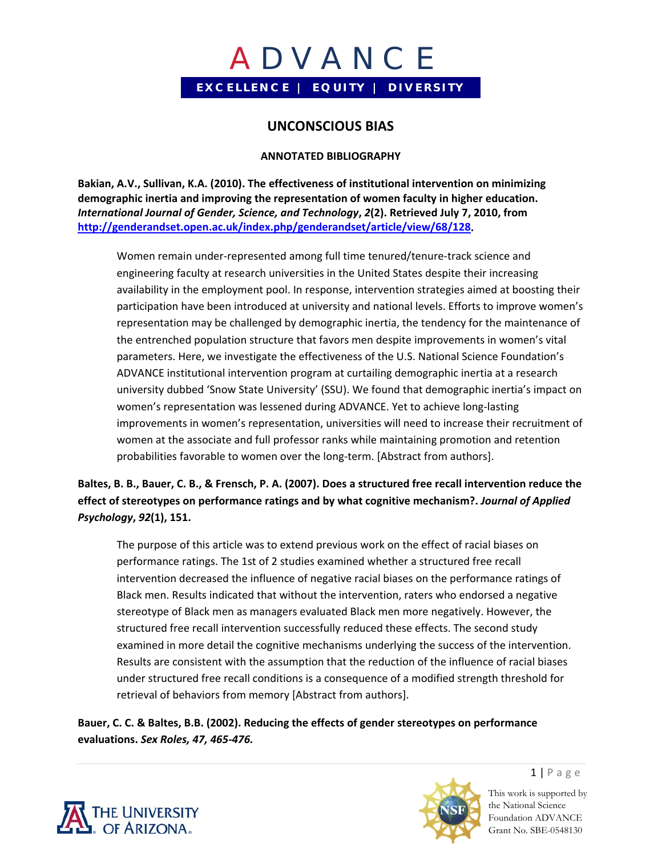## **UNCONSCIOUS BIAS**

#### **ANNOTATED BIBLIOGRAPHY**

**Bakian, A.V., Sullivan, K.A. (2010). The effectiveness of institutional intervention on minimizing demographic inertia and improving the representation of women faculty in higher education.** *International Journal of Gender, Science, and Technology***,** *2***(2). Retrieved July 7, 2010, from http://genderandset.open.ac.uk/index.php/genderandset/article/view/68/128.**

Women remain under‐represented among full time tenured/tenure‐track science and engineering faculty at research universities in the United States despite their increasing availability in the employment pool. In response, intervention strategies aimed at boosting their participation have been introduced at university and national levels. Efforts to improve women's representation may be challenged by demographic inertia, the tendency for the maintenance of the entrenched population structure that favors men despite improvements in women's vital parameters. Here, we investigate the effectiveness of the U.S. National Science Foundation's ADVANCE institutional intervention program at curtailing demographic inertia at a research university dubbed 'Snow State University' (SSU). We found that demographic inertia's impact on women's representation was lessened during ADVANCE. Yet to achieve long-lasting improvements in women's representation, universities will need to increase their recruitment of women at the associate and full professor ranks while maintaining promotion and retention probabilities favorable to women over the long-term. [Abstract from authors].

## Baltes, B. B., Bauer, C. B., & Frensch, P. A. (2007). Does a structured free recall intervention reduce the **effect of stereotypes on performance ratings and by what cognitive mechanism?.** *Journal of Applied Psychology***,** *92***(1), 151.**

The purpose of this article was to extend previous work on the effect of racial biases on performance ratings. The 1st of 2 studies examined whether a structured free recall intervention decreased the influence of negative racial biases on the performance ratings of Black men. Results indicated that without the intervention, raters who endorsed a negative stereotype of Black men as managers evaluated Black men more negatively. However, the structured free recall intervention successfully reduced these effects. The second study examined in more detail the cognitive mechanisms underlying the success of the intervention. Results are consistent with the assumption that the reduction of the influence of racial biases under structured free recall conditions is a consequence of a modified strength threshold for retrieval of behaviors from memory [Abstract from authors].

**Bauer, C. C. & Baltes, B.B. (2002). Reducing the effects of gender stereotypes on performance evaluations.** *Sex Roles, 47, 465‐476.*





 $1 | P \text{age}$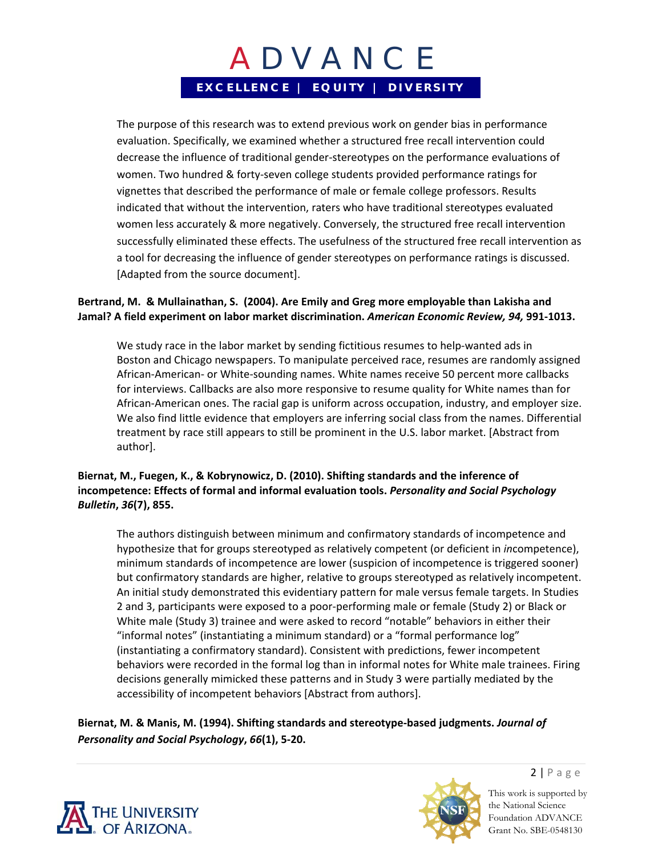The purpose of this research was to extend previous work on gender bias in performance evaluation. Specifically, we examined whether a structured free recall intervention could decrease the influence of traditional gender‐stereotypes on the performance evaluations of women. Two hundred & forty‐seven college students provided performance ratings for vignettes that described the performance of male or female college professors. Results indicated that without the intervention, raters who have traditional stereotypes evaluated women less accurately & more negatively. Conversely, the structured free recall intervention successfully eliminated these effects. The usefulness of the structured free recall intervention as a tool for decreasing the influence of gender stereotypes on performance ratings is discussed. [Adapted from the source document].

#### **Bertrand, M. & Mullainathan, S. (2004). Are Emily and Greg more employable than Lakisha and Jamal? A field experiment on labor market discrimination.** *American Economic Review, 94,* **991‐1013.**

We study race in the labor market by sending fictitious resumes to help-wanted ads in Boston and Chicago newspapers. To manipulate perceived race, resumes are randomly assigned African‐American‐ or White‐sounding names. White names receive 50 percent more callbacks for interviews. Callbacks are also more responsive to resume quality for White names than for African‐American ones. The racial gap is uniform across occupation, industry, and employer size. We also find little evidence that employers are inferring social class from the names. Differential treatment by race still appears to still be prominent in the U.S. labor market. [Abstract from author].

### **Biernat, M., Fuegen, K., & Kobrynowicz, D. (2010). Shifting standards and the inference of incompetence: Effects of formal and informal evaluation tools.** *Personality and Social Psychology Bulletin***,** *36***(7), 855.**

The authors distinguish between minimum and confirmatory standards of incompetence and hypothesize that for groups stereotyped as relatively competent (or deficient in *in*competence), minimum standards of incompetence are lower (suspicion of incompetence is triggered sooner) but confirmatory standards are higher, relative to groups stereotyped as relatively incompetent. An initial study demonstrated this evidentiary pattern for male versus female targets. In Studies 2 and 3, participants were exposed to a poor‐performing male or female (Study 2) or Black or White male (Study 3) trainee and were asked to record "notable" behaviors in either their "informal notes" (instantiating a minimum standard) or a "formal performance log" (instantiating a confirmatory standard). Consistent with predictions, fewer incompetent behaviors were recorded in the formal log than in informal notes for White male trainees. Firing decisions generally mimicked these patterns and in Study 3 were partially mediated by the accessibility of incompetent behaviors [Abstract from authors].

**Biernat, M. & Manis, M. (1994). Shifting standards and stereotype‐based judgments.** *Journal of Personality and Social Psychology***,** *66***(1), 5‐20.** 





 $2 | P \text{age}$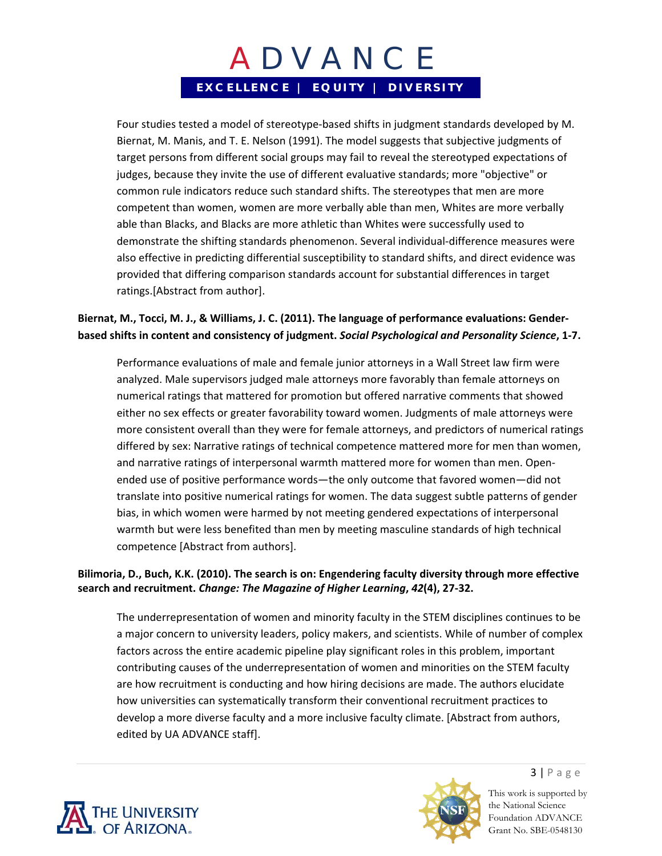Four studies tested a model of stereotype‐based shifts in judgment standards developed by M. Biernat, M. Manis, and T. E. Nelson (1991). The model suggests that subjective judgments of target persons from different social groups may fail to reveal the stereotyped expectations of judges, because they invite the use of different evaluative standards; more "objective" or common rule indicators reduce such standard shifts. The stereotypes that men are more competent than women, women are more verbally able than men, Whites are more verbally able than Blacks, and Blacks are more athletic than Whites were successfully used to demonstrate the shifting standards phenomenon. Several individual‐difference measures were also effective in predicting differential susceptibility to standard shifts, and direct evidence was provided that differing comparison standards account for substantial differences in target ratings.[Abstract from author].

### **Biernat, M., Tocci, M. J., & Williams, J. C. (2011). The language of performance evaluations: Gender‐ based shifts in content and consistency of judgment.** *Social Psychological and Personality Science***, 1‐7.**

Performance evaluations of male and female junior attorneys in a Wall Street law firm were analyzed. Male supervisors judged male attorneys more favorably than female attorneys on numerical ratings that mattered for promotion but offered narrative comments that showed either no sex effects or greater favorability toward women. Judgments of male attorneys were more consistent overall than they were for female attorneys, and predictors of numerical ratings differed by sex: Narrative ratings of technical competence mattered more for men than women, and narrative ratings of interpersonal warmth mattered more for women than men. Open‐ ended use of positive performance words—the only outcome that favored women—did not translate into positive numerical ratings for women. The data suggest subtle patterns of gender bias, in which women were harmed by not meeting gendered expectations of interpersonal warmth but were less benefited than men by meeting masculine standards of high technical competence [Abstract from authors].

### **Bilimoria, D., Buch, K.K. (2010). The search is on: Engendering faculty diversity through more effective search and recruitment.** *Change: The Magazine of Higher Learning***,** *42***(4), 27‐32.**

The underrepresentation of women and minority faculty in the STEM disciplines continues to be a major concern to university leaders, policy makers, and scientists. While of number of complex factors across the entire academic pipeline play significant roles in this problem, important contributing causes of the underrepresentation of women and minorities on the STEM faculty are how recruitment is conducting and how hiring decisions are made. The authors elucidate how universities can systematically transform their conventional recruitment practices to develop a more diverse faculty and a more inclusive faculty climate. [Abstract from authors, edited by UA ADVANCE staff].





 $3 | P \text{age}$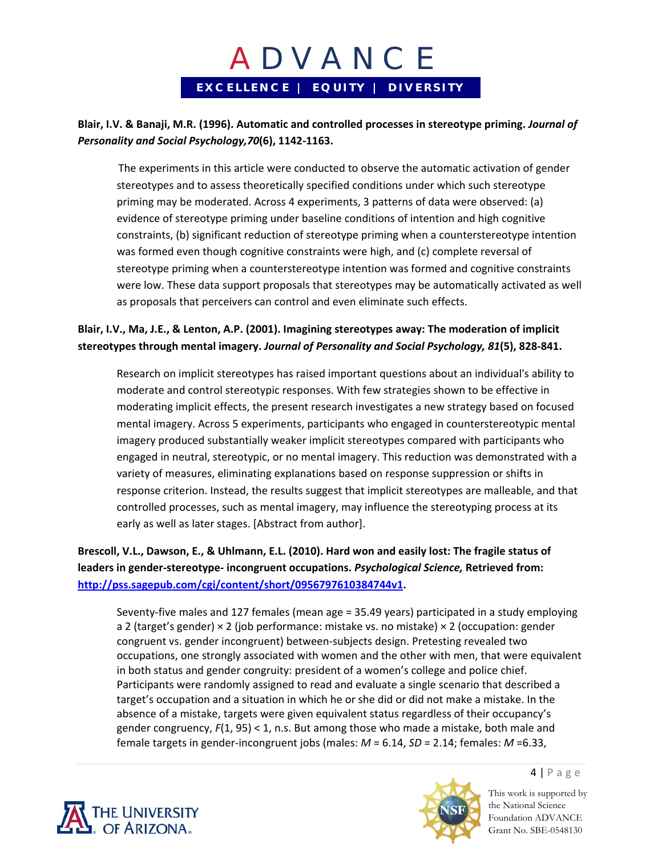### **Blair, I.V. & Banaji, M.R. (1996). Automatic and controlled processes in stereotype priming.** *Journal of Personality and Social Psychology,70***(6), 1142‐1163.**

The experiments in this article were conducted to observe the automatic activation of gender stereotypes and to assess theoretically specified conditions under which such stereotype priming may be moderated. Across 4 experiments, 3 patterns of data were observed: (a) evidence of stereotype priming under baseline conditions of intention and high cognitive constraints, (b) significant reduction of stereotype priming when a counterstereotype intention was formed even though cognitive constraints were high, and (c) complete reversal of stereotype priming when a counterstereotype intention was formed and cognitive constraints were low. These data support proposals that stereotypes may be automatically activated as well as proposals that perceivers can control and even eliminate such effects.

### **Blair, I.V., Ma, J.E., & Lenton, A.P. (2001). Imagining stereotypes away: The moderation of implicit stereotypes through mental imagery.** *Journal of Personality and Social Psychology, 81***(5), 828‐841.**

Research on implicit stereotypes has raised important questions about an individual's ability to moderate and control stereotypic responses. With few strategies shown to be effective in moderating implicit effects, the present research investigates a new strategy based on focused mental imagery. Across 5 experiments, participants who engaged in counterstereotypic mental imagery produced substantially weaker implicit stereotypes compared with participants who engaged in neutral, stereotypic, or no mental imagery. This reduction was demonstrated with a variety of measures, eliminating explanations based on response suppression or shifts in response criterion. Instead, the results suggest that implicit stereotypes are malleable, and that controlled processes, such as mental imagery, may influence the stereotyping process at its early as well as later stages. [Abstract from author].

### **Brescoll, V.L., Dawson, E., & Uhlmann, E.L. (2010). Hard won and easily lost: The fragile status of leaders in gender‐stereotype‐ incongruent occupations.** *Psychological Science,* **Retrieved from: http://pss.sagepub.com/cgi/content/short/0956797610384744v1.**

Seventy‐five males and 127 females (mean age = 35.49 years) participated in a study employing a 2 (target's gender) × 2 (job performance: mistake vs. no mistake) × 2 (occupation: gender congruent vs. gender incongruent) between-subjects design. Pretesting revealed two occupations, one strongly associated with women and the other with men, that were equivalent in both status and gender congruity: president of a women's college and police chief. Participants were randomly assigned to read and evaluate a single scenario that described a target's occupation and a situation in which he or she did or did not make a mistake. In the absence of a mistake, targets were given equivalent status regardless of their occupancy's gender congruency, *F*(1, 95) < 1, n.s. But among those who made a mistake, both male and female targets in gender‐incongruent jobs (males: *M* = 6.14, *SD* = 2.14; females: *M* =6.33,





 $4 | P \text{age}$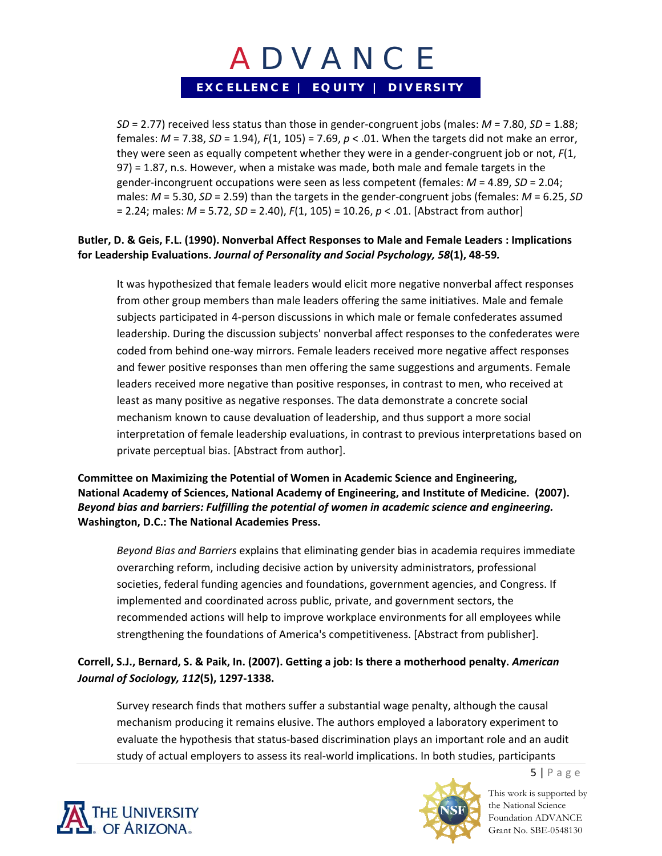*SD* = 2.77) received less status than those in gender‐congruent jobs (males: *M* = 7.80, *SD* = 1.88; females: *M* = 7.38, *SD* = 1.94), *F*(1, 105) = 7.69, *p* < .01. When the targets did not make an error, they were seen as equally competent whether they were in a gender‐congruent job or not, *F*(1, 97) = 1.87, n.s. However, when a mistake was made, both male and female targets in the gender‐incongruent occupations were seen as less competent (females: *M* = 4.89, *SD* = 2.04; males: *M* = 5.30, *SD* = 2.59) than the targets in the gender‐congruent jobs (females: *M* = 6.25, *SD* = 2.24; males: *M* = 5.72, *SD* = 2.40), *F*(1, 105) = 10.26, *p* < .01. [Abstract from author]

### **Butler, D. & Geis, F.L. (1990). Nonverbal Affect Responses to Male and Female Leaders : Implications for Leadership Evaluations.** *Journal of Personality and Social Psychology, 58***(1), 48‐59***.*

It was hypothesized that female leaders would elicit more negative nonverbal affect responses from other group members than male leaders offering the same initiatives. Male and female subjects participated in 4‐person discussions in which male or female confederates assumed leadership. During the discussion subjects' nonverbal affect responses to the confederates were coded from behind one‐way mirrors. Female leaders received more negative affect responses and fewer positive responses than men offering the same suggestions and arguments. Female leaders received more negative than positive responses, in contrast to men, who received at least as many positive as negative responses. The data demonstrate a concrete social mechanism known to cause devaluation of leadership, and thus support a more social interpretation of female leadership evaluations, in contrast to previous interpretations based on private perceptual bias. [Abstract from author].

#### **Committee on Maximizing the Potential of Women in Academic Science and Engineering, National Academy of Sciences, National Academy of Engineering, and Institute of Medicine. (2007).** *Beyond bias and barriers: Fulfilling the potential of women in academic science and engineering.* **Washington, D.C.: The National Academies Press.**

*Beyond Bias and Barriers* explains that eliminating gender bias in academia requires immediate overarching reform, including decisive action by university administrators, professional societies, federal funding agencies and foundations, government agencies, and Congress. If implemented and coordinated across public, private, and government sectors, the recommended actions will help to improve workplace environments for all employees while strengthening the foundations of America's competitiveness. [Abstract from publisher].

## **Correll, S.J., Bernard, S. & Paik, In. (2007). Getting a job: Is there a motherhood penalty.** *American Journal of Sociology, 112***(5), 1297‐1338.**

Survey research finds that mothers suffer a substantial wage penalty, although the causal mechanism producing it remains elusive. The authors employed a laboratory experiment to evaluate the hypothesis that status‐based discrimination plays an important role and an audit study of actual employers to assess its real‐world implications. In both studies, participants





This work is supported by the National Science Foundation ADVANCE Grant No. SBE-0548130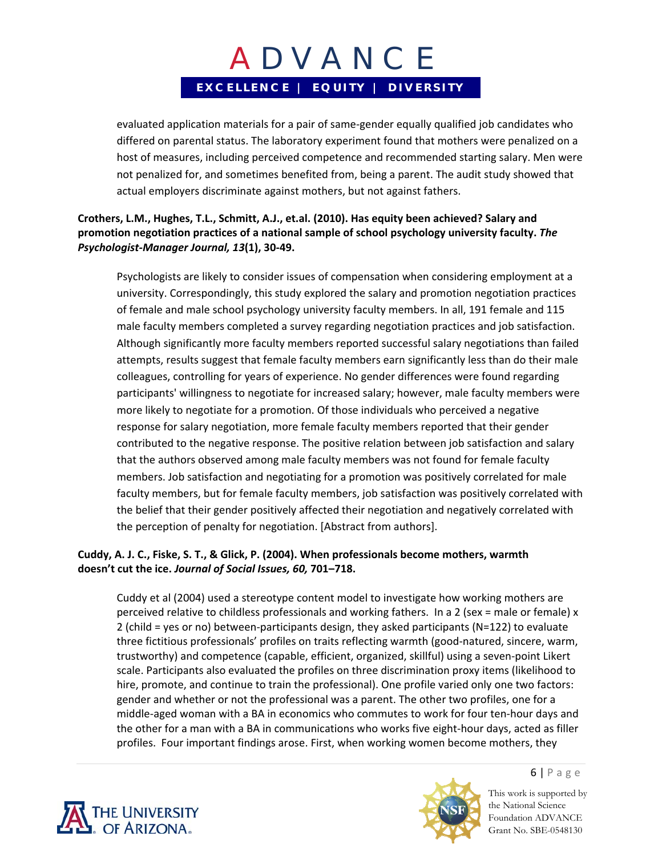evaluated application materials for a pair of same‐gender equally qualified job candidates who differed on parental status. The laboratory experiment found that mothers were penalized on a host of measures, including perceived competence and recommended starting salary. Men were not penalized for, and sometimes benefited from, being a parent. The audit study showed that actual employers discriminate against mothers, but not against fathers.

**Crothers, L.M., Hughes, T.L., Schmitt, A.J., et.al. (2010). Has equity been achieved? Salary and promotion negotiation practices of a national sample of school psychology university faculty.** *The Psychologist‐Manager Journal, 13***(1), 30‐49.**

Psychologists are likely to consider issues of compensation when considering employment at a university. Correspondingly, this study explored the salary and promotion negotiation practices of female and male school psychology university faculty members. In all, 191 female and 115 male faculty members completed a survey regarding negotiation practices and job satisfaction. Although significantly more faculty members reported successful salary negotiations than failed attempts, results suggest that female faculty members earn significantly less than do their male colleagues, controlling for years of experience. No gender differences were found regarding participants' willingness to negotiate for increased salary; however, male faculty members were more likely to negotiate for a promotion. Of those individuals who perceived a negative response for salary negotiation, more female faculty members reported that their gender contributed to the negative response. The positive relation between job satisfaction and salary that the authors observed among male faculty members was not found for female faculty members. Job satisfaction and negotiating for a promotion was positively correlated for male faculty members, but for female faculty members, job satisfaction was positively correlated with the belief that their gender positively affected their negotiation and negatively correlated with the perception of penalty for negotiation. [Abstract from authors].

### **Cuddy, A. J. C., Fiske, S. T., & Glick, P. (2004). When professionals become mothers, warmth doesn't cut the ice.** *Journal of Social Issues, 60,* **701–718.**

Cuddy et al (2004) used a stereotype content model to investigate how working mothers are perceived relative to childless professionals and working fathers. In a 2 (sex = male or female) x 2 (child = yes or no) between‐participants design, they asked participants (N=122) to evaluate three fictitious professionals' profiles on traits reflecting warmth (good‐natured, sincere, warm, trustworthy) and competence (capable, efficient, organized, skillful) using a seven‐point Likert scale. Participants also evaluated the profiles on three discrimination proxy items (likelihood to hire, promote, and continue to train the professional). One profile varied only one two factors: gender and whether or not the professional was a parent. The other two profiles, one for a middle‐aged woman with a BA in economics who commutes to work for four ten‐hour days and the other for a man with a BA in communications who works five eight‐hour days, acted as filler profiles. Four important findings arose. First, when working women become mothers, they





This work is supported by the National Science Foundation ADVANCE Grant No. SBE-0548130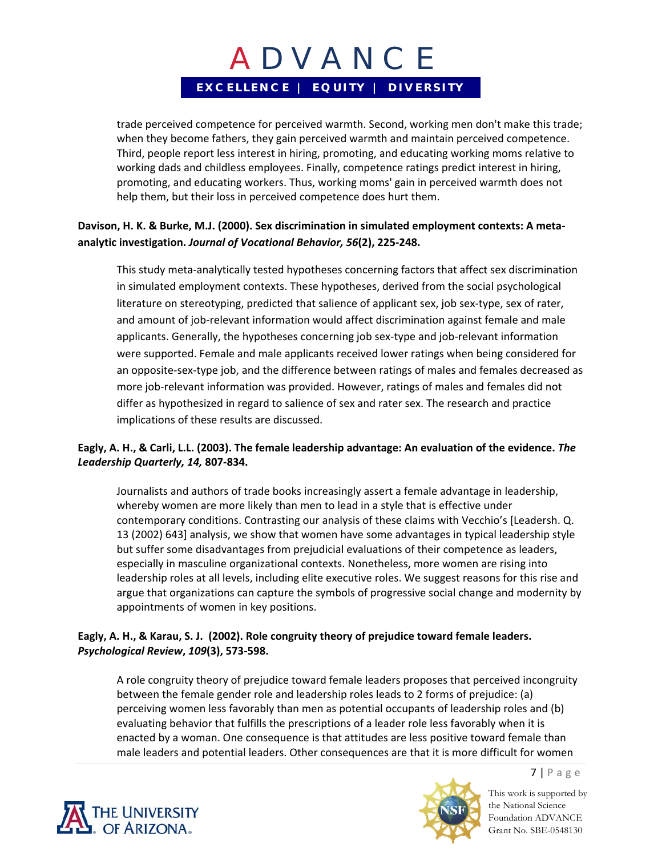trade perceived competence for perceived warmth. Second, working men don't make this trade; when they become fathers, they gain perceived warmth and maintain perceived competence. Third, people report less interest in hiring, promoting, and educating working moms relative to working dads and childless employees. Finally, competence ratings predict interest in hiring, promoting, and educating workers. Thus, working moms' gain in perceived warmth does not help them, but their loss in perceived competence does hurt them.

### **Davison, H. K. & Burke, M.J. (2000). Sex discrimination in simulated employment contexts: A meta‐ analytic investigation.** *Journal of Vocational Behavior, 56***(2), 225‐248.**

This study meta‐analytically tested hypotheses concerning factors that affect sex discrimination in simulated employment contexts. These hypotheses, derived from the social psychological literature on stereotyping, predicted that salience of applicant sex, job sex‐type, sex of rater, and amount of job-relevant information would affect discrimination against female and male applicants. Generally, the hypotheses concerning job sex‐type and job‐relevant information were supported. Female and male applicants received lower ratings when being considered for an opposite‐sex‐type job, and the difference between ratings of males and females decreased as more job-relevant information was provided. However, ratings of males and females did not differ as hypothesized in regard to salience of sex and rater sex. The research and practice implications of these results are discussed.

### Eagly, A. H., & Carli, L.L. (2003). The female leadership advantage: An evaluation of the evidence. The *Leadership Quarterly, 14,* **807‐834.**

Journalists and authors of trade books increasingly assert a female advantage in leadership, whereby women are more likely than men to lead in a style that is effective under contemporary conditions. Contrasting our analysis of these claims with Vecchio's [Leadersh. Q. 13 (2002) 643] analysis, we show that women have some advantages in typical leadership style but suffer some disadvantages from prejudicial evaluations of their competence as leaders, especially in masculine organizational contexts. Nonetheless, more women are rising into leadership roles at all levels, including elite executive roles. We suggest reasons for this rise and argue that organizations can capture the symbols of progressive social change and modernity by appointments of women in key positions.

### **Eagly, A. H., & Karau, S. J. (2002). Role congruity theory of prejudice toward female leaders.** *Psychological Review***,** *109***(3), 573‐598.**

A role congruity theory of prejudice toward female leaders proposes that perceived incongruity between the female gender role and leadership roles leads to 2 forms of prejudice: (a) perceiving women less favorably than men as potential occupants of leadership roles and (b) evaluating behavior that fulfills the prescriptions of a leader role less favorably when it is enacted by a woman. One consequence is that attitudes are less positive toward female than male leaders and potential leaders. Other consequences are that it is more difficult for women





This work is supported by the National Science Foundation ADVANCE Grant No. SBE-0548130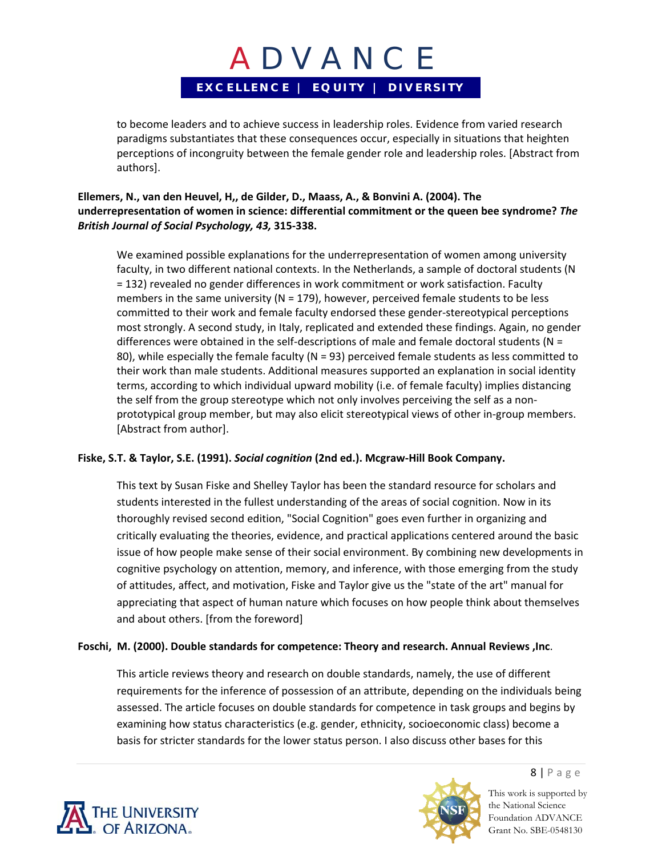to become leaders and to achieve success in leadership roles. Evidence from varied research paradigms substantiates that these consequences occur, especially in situations that heighten perceptions of incongruity between the female gender role and leadership roles. [Abstract from authors].

### **Ellemers, N., van den Heuvel, H,, de Gilder, D., Maass, A., & Bonvini A. (2004). The underrepresentation of women in science: differential commitment or the queen bee syndrome?** *The British Journal of Social Psychology, 43,* **315‐338.**

We examined possible explanations for the underrepresentation of women among university faculty, in two different national contexts. In the Netherlands, a sample of doctoral students (N = 132) revealed no gender differences in work commitment or work satisfaction. Faculty members in the same university ( $N = 179$ ), however, perceived female students to be less committed to their work and female faculty endorsed these gender‐stereotypical perceptions most strongly. A second study, in Italy, replicated and extended these findings. Again, no gender differences were obtained in the self-descriptions of male and female doctoral students ( $N =$ 80), while especially the female faculty (N = 93) perceived female students as less committed to their work than male students. Additional measures supported an explanation in social identity terms, according to which individual upward mobility (i.e. of female faculty) implies distancing the self from the group stereotype which not only involves perceiving the self as a non‐ prototypical group member, but may also elicit stereotypical views of other in‐group members. [Abstract from author].

### **Fiske, S.T. & Taylor, S.E. (1991).** *Social cognition* **(2nd ed.). Mcgraw‐Hill Book Company.**

This text by Susan Fiske and Shelley Taylor has been the standard resource for scholars and students interested in the fullest understanding of the areas of social cognition. Now in its thoroughly revised second edition, "Social Cognition" goes even further in organizing and critically evaluating the theories, evidence, and practical applications centered around the basic issue of how people make sense of their social environment. By combining new developments in cognitive psychology on attention, memory, and inference, with those emerging from the study of attitudes, affect, and motivation, Fiske and Taylor give us the "state of the art" manual for appreciating that aspect of human nature which focuses on how people think about themselves and about others. [from the foreword]

#### **Foschi, M. (2000). Double standards for competence: Theory and research. Annual Reviews ,Inc**.

This article reviews theory and research on double standards, namely, the use of different requirements for the inference of possession of an attribute, depending on the individuals being assessed. The article focuses on double standards for competence in task groups and begins by examining how status characteristics (e.g. gender, ethnicity, socioeconomic class) become a basis for stricter standards for the lower status person. I also discuss other bases for this





8 | Page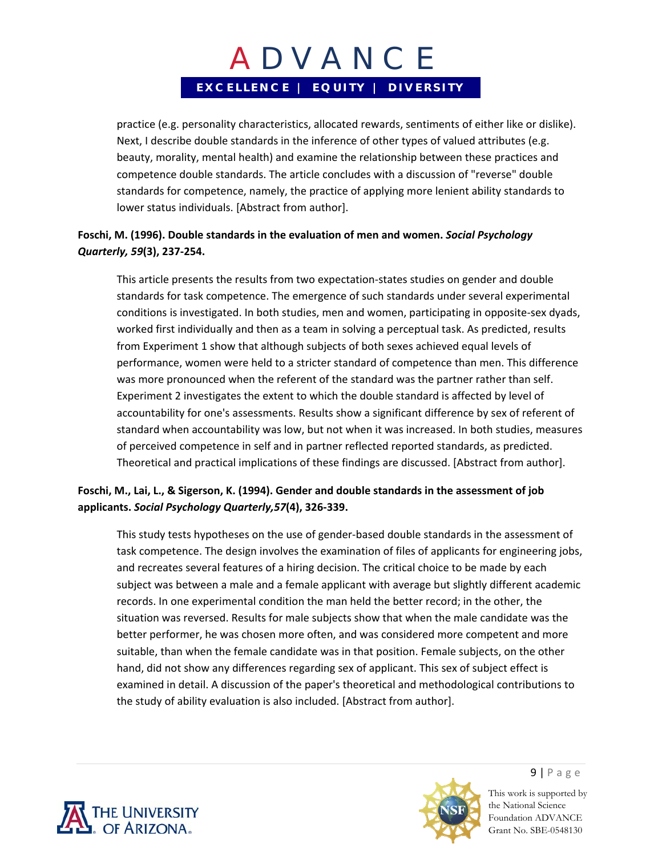practice (e.g. personality characteristics, allocated rewards, sentiments of either like or dislike). Next, I describe double standards in the inference of other types of valued attributes (e.g. beauty, morality, mental health) and examine the relationship between these practices and competence double standards. The article concludes with a discussion of "reverse" double standards for competence, namely, the practice of applying more lenient ability standards to lower status individuals. [Abstract from author].

### **Foschi, M. (1996). Double standards in the evaluation of men and women.** *Social Psychology Quarterly, 59***(3), 237‐254.**

This article presents the results from two expectation‐states studies on gender and double standards for task competence. The emergence of such standards under several experimental conditions is investigated. In both studies, men and women, participating in opposite‐sex dyads, worked first individually and then as a team in solving a perceptual task. As predicted, results from Experiment 1 show that although subjects of both sexes achieved equal levels of performance, women were held to a stricter standard of competence than men. This difference was more pronounced when the referent of the standard was the partner rather than self. Experiment 2 investigates the extent to which the double standard is affected by level of accountability for one's assessments. Results show a significant difference by sex of referent of standard when accountability was low, but not when it was increased. In both studies, measures of perceived competence in self and in partner reflected reported standards, as predicted. Theoretical and practical implications of these findings are discussed. [Abstract from author].

### **Foschi, M., Lai, L., & Sigerson, K. (1994). Gender and double standards in the assessment of job applicants.** *Social Psychology Quarterly,57***(4), 326‐339.**

This study tests hypotheses on the use of gender‐based double standards in the assessment of task competence. The design involves the examination of files of applicants for engineering jobs, and recreates several features of a hiring decision. The critical choice to be made by each subject was between a male and a female applicant with average but slightly different academic records. In one experimental condition the man held the better record; in the other, the situation was reversed. Results for male subjects show that when the male candidate was the better performer, he was chosen more often, and was considered more competent and more suitable, than when the female candidate was in that position. Female subjects, on the other hand, did not show any differences regarding sex of applicant. This sex of subject effect is examined in detail. A discussion of the paper's theoretical and methodological contributions to the study of ability evaluation is also included. [Abstract from author].





9 | Page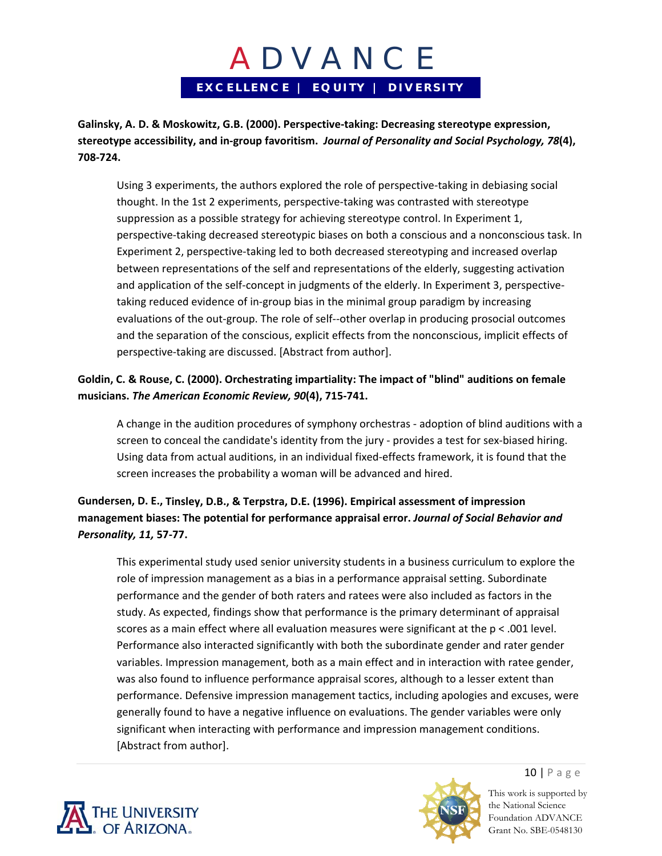**Galinsky, A. D. & Moskowitz, G.B. (2000). Perspective‐taking: Decreasing stereotype expression, stereotype accessibility, and in‐group favoritism.** *Journal of Personality and Social Psychology, 78***(4), 708‐724.**

Using 3 experiments, the authors explored the role of perspective‐taking in debiasing social thought. In the 1st 2 experiments, perspective‐taking was contrasted with stereotype suppression as a possible strategy for achieving stereotype control. In Experiment 1, perspective-taking decreased stereotypic biases on both a conscious and a nonconscious task. In Experiment 2, perspective-taking led to both decreased stereotyping and increased overlap between representations of the self and representations of the elderly, suggesting activation and application of the self-concept in judgments of the elderly. In Experiment 3, perspectivetaking reduced evidence of in‐group bias in the minimal group paradigm by increasing evaluations of the out‐group. The role of self‐‐other overlap in producing prosocial outcomes and the separation of the conscious, explicit effects from the nonconscious, implicit effects of perspective‐taking are discussed. [Abstract from author].

### **Goldin, C. & Rouse, C. (2000). Orchestrating impartiality: The impact of "blind" auditions on female musicians.** *The American Economic Review, 90***(4), 715‐741.**

A change in the audition procedures of symphony orchestras ‐ adoption of blind auditions with a screen to conceal the candidate's identity from the jury - provides a test for sex-biased hiring. Using data from actual auditions, in an individual fixed‐effects framework, it is found that the screen increases the probability a woman will be advanced and hired.

## **Gundersen, D. E., Tinsley, D.B., & Terpstra, D.E. (1996). Empirical assessment of impression management biases: The potential for performance appraisal error.** *Journal of Social Behavior and Personality, 11,* **57‐77.**

This experimental study used senior university students in a business curriculum to explore the role of impression management as a bias in a performance appraisal setting. Subordinate performance and the gender of both raters and ratees were also included as factors in the study. As expected, findings show that performance is the primary determinant of appraisal scores as a main effect where all evaluation measures were significant at the  $p < .001$  level. Performance also interacted significantly with both the subordinate gender and rater gender variables. Impression management, both as a main effect and in interaction with ratee gender, was also found to influence performance appraisal scores, although to a lesser extent than performance. Defensive impression management tactics, including apologies and excuses, were generally found to have a negative influence on evaluations. The gender variables were only significant when interacting with performance and impression management conditions. [Abstract from author].





10 | Page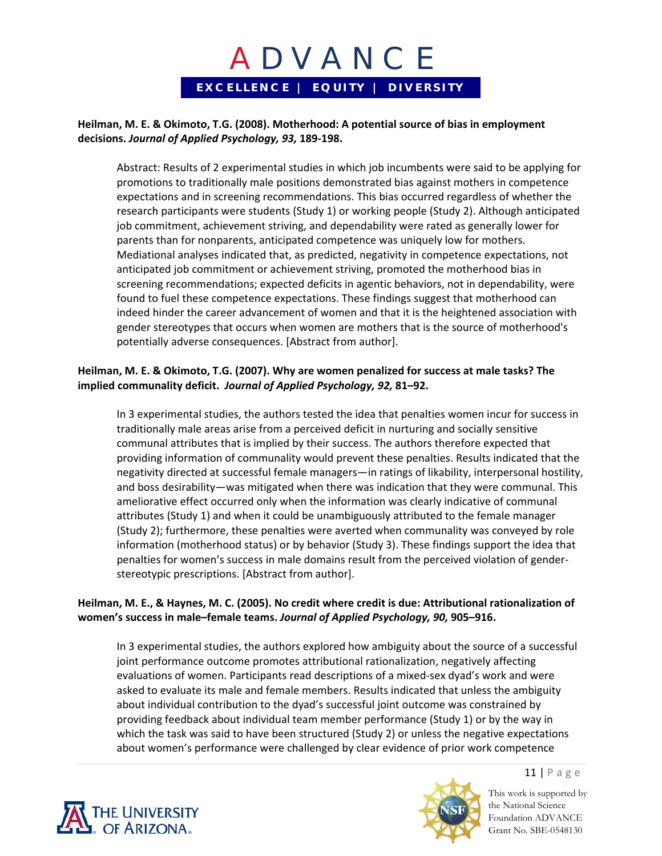#### **Heilman, M. E. & Okimoto, T.G. (2008). Motherhood: A potential source of bias in employment decisions.** *Journal of Applied Psychology, 93,* **189‐198.**

Abstract: Results of 2 experimental studies in which job incumbents were said to be applying for promotions to traditionally male positions demonstrated bias against mothers in competence expectations and in screening recommendations. This bias occurred regardless of whether the research participants were students (Study 1) or working people (Study 2). Although anticipated job commitment, achievement striving, and dependability were rated as generally lower for parents than for nonparents, anticipated competence was uniquely low for mothers. Mediational analyses indicated that, as predicted, negativity in competence expectations, not anticipated job commitment or achievement striving, promoted the motherhood bias in screening recommendations; expected deficits in agentic behaviors, not in dependability, were found to fuel these competence expectations. These findings suggest that motherhood can indeed hinder the career advancement of women and that it is the heightened association with gender stereotypes that occurs when women are mothers that is the source of motherhood's potentially adverse consequences. [Abstract from author].

#### **Heilman, M. E. & Okimoto, T.G. (2007). Why are women penalized for success at male tasks? The implied communality deficit.** *Journal of Applied Psychology, 92,* **81–92.**

In 3 experimental studies, the authors tested the idea that penalties women incur for success in traditionally male areas arise from a perceived deficit in nurturing and socially sensitive communal attributes that is implied by their success. The authors therefore expected that providing information of communality would prevent these penalties. Results indicated that the negativity directed at successful female managers—in ratings of likability, interpersonal hostility, and boss desirability—was mitigated when there was indication that they were communal. This ameliorative effect occurred only when the information was clearly indicative of communal attributes (Study 1) and when it could be unambiguously attributed to the female manager (Study 2); furthermore, these penalties were averted when communality was conveyed by role information (motherhood status) or by behavior (Study 3). These findings support the idea that penalties for women's success in male domains result from the perceived violation of gender‐ stereotypic prescriptions. [Abstract from author].

#### **Heilman, M. E., & Haynes, M. C. (2005). No credit where credit is due: Attributional rationalization of women's success in male–female teams.** *Journal of Applied Psychology, 90,* **905–916.**

In 3 experimental studies, the authors explored how ambiguity about the source of a successful joint performance outcome promotes attributional rationalization, negatively affecting evaluations of women. Participants read descriptions of a mixed‐sex dyad's work and were asked to evaluate its male and female members. Results indicated that unless the ambiguity about individual contribution to the dyad's successful joint outcome was constrained by providing feedback about individual team member performance (Study 1) or by the way in which the task was said to have been structured (Study 2) or unless the negative expectations about women's performance were challenged by clear evidence of prior work competence





This work is supported by the National Science Foundation ADVANCE Grant No. SBE-0548130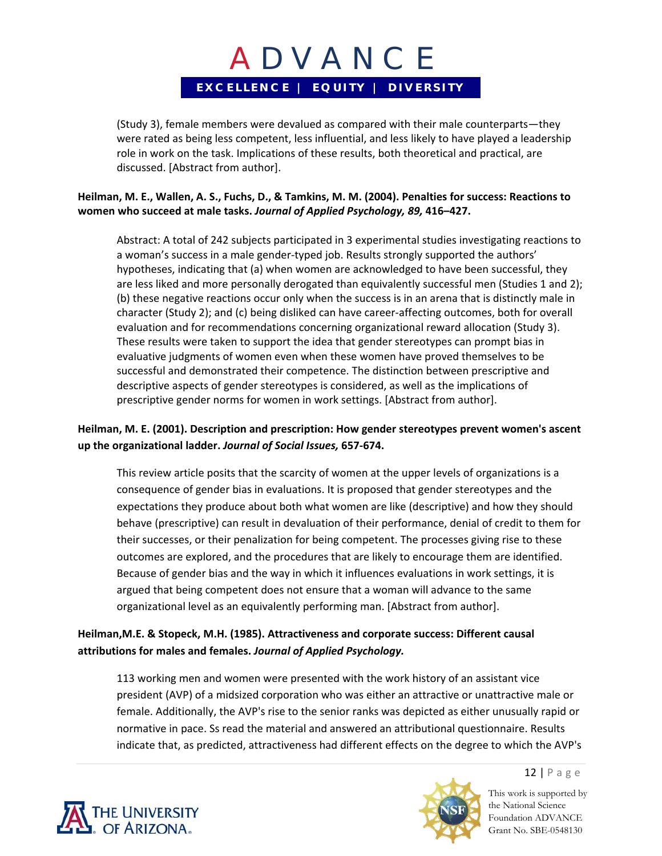(Study 3), female members were devalued as compared with their male counterparts—they were rated as being less competent, less influential, and less likely to have played a leadership role in work on the task. Implications of these results, both theoretical and practical, are discussed. [Abstract from author].

#### Heilman, M. E., Wallen, A. S., Fuchs, D., & Tamkins, M. M. (2004). Penalties for success: Reactions to **women who succeed at male tasks.** *Journal of Applied Psychology, 89,* **416–427.**

Abstract: A total of 242 subjects participated in 3 experimental studies investigating reactions to a woman's success in a male gender‐typed job. Results strongly supported the authors' hypotheses, indicating that (a) when women are acknowledged to have been successful, they are less liked and more personally derogated than equivalently successful men (Studies 1 and 2); (b) these negative reactions occur only when the success is in an arena that is distinctly male in character (Study 2); and (c) being disliked can have career‐affecting outcomes, both for overall evaluation and for recommendations concerning organizational reward allocation (Study 3). These results were taken to support the idea that gender stereotypes can prompt bias in evaluative judgments of women even when these women have proved themselves to be successful and demonstrated their competence. The distinction between prescriptive and descriptive aspects of gender stereotypes is considered, as well as the implications of prescriptive gender norms for women in work settings. [Abstract from author].

### **Heilman, M. E. (2001). Description and prescription: How gender stereotypes prevent women's ascent up the organizational ladder.** *Journal of Social Issues,* **657‐674.**

This review article posits that the scarcity of women at the upper levels of organizations is a consequence of gender bias in evaluations. It is proposed that gender stereotypes and the expectations they produce about both what women are like (descriptive) and how they should behave (prescriptive) can result in devaluation of their performance, denial of credit to them for their successes, or their penalization for being competent. The processes giving rise to these outcomes are explored, and the procedures that are likely to encourage them are identified. Because of gender bias and the way in which it influences evaluations in work settings, it is argued that being competent does not ensure that a woman will advance to the same organizational level as an equivalently performing man. [Abstract from author].

### **Heilman,M.E. & Stopeck, M.H. (1985). Attractiveness and corporate success: Different causal attributions for males and females.** *Journal of Applied Psychology.*

113 working men and women were presented with the work history of an assistant vice president (AVP) of a midsized corporation who was either an attractive or unattractive male or female. Additionally, the AVP's rise to the senior ranks was depicted as either unusually rapid or normative in pace. Ss read the material and answered an attributional questionnaire. Results indicate that, as predicted, attractiveness had different effects on the degree to which the AVP's



This work is supported by the National Science Foundation ADVANCE Grant No. SBE-0548130

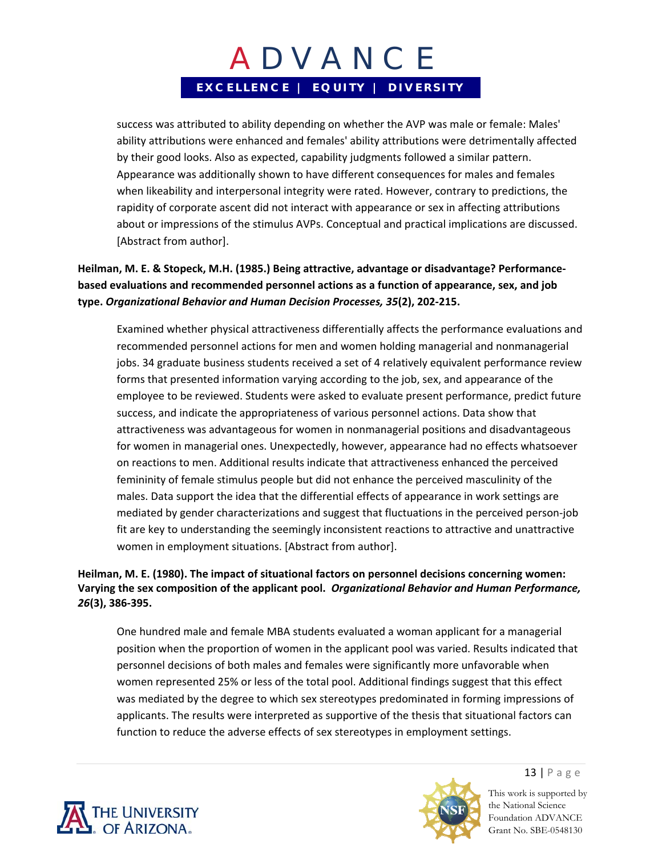success was attributed to ability depending on whether the AVP was male or female: Males' ability attributions were enhanced and females' ability attributions were detrimentally affected by their good looks. Also as expected, capability judgments followed a similar pattern. Appearance was additionally shown to have different consequences for males and females when likeability and interpersonal integrity were rated. However, contrary to predictions, the rapidity of corporate ascent did not interact with appearance or sex in affecting attributions about or impressions of the stimulus AVPs. Conceptual and practical implications are discussed. [Abstract from author].

## **Heilman, M. E. & Stopeck, M.H. (1985.) Being attractive, advantage or disadvantage? Performance‐ based evaluations and recommended personnel actions as a function of appearance, sex, and job type.** *Organizational Behavior and Human Decision Processes, 35***(2), 202‐215.**

Examined whether physical attractiveness differentially affects the performance evaluations and recommended personnel actions for men and women holding managerial and nonmanagerial jobs. 34 graduate business students received a set of 4 relatively equivalent performance review forms that presented information varying according to the job, sex, and appearance of the employee to be reviewed. Students were asked to evaluate present performance, predict future success, and indicate the appropriateness of various personnel actions. Data show that attractiveness was advantageous for women in nonmanagerial positions and disadvantageous for women in managerial ones. Unexpectedly, however, appearance had no effects whatsoever on reactions to men. Additional results indicate that attractiveness enhanced the perceived femininity of female stimulus people but did not enhance the perceived masculinity of the males. Data support the idea that the differential effects of appearance in work settings are mediated by gender characterizations and suggest that fluctuations in the perceived person‐job fit are key to understanding the seemingly inconsistent reactions to attractive and unattractive women in employment situations. [Abstract from author].

### **Heilman, M. E. (1980). The impact of situational factors on personnel decisions concerning women: Varying the sex composition of the applicant pool.** *Organizational Behavior and Human Performance, 26***(3), 386‐395.**

One hundred male and female MBA students evaluated a woman applicant for a managerial position when the proportion of women in the applicant pool was varied. Results indicated that personnel decisions of both males and females were significantly more unfavorable when women represented 25% or less of the total pool. Additional findings suggest that this effect was mediated by the degree to which sex stereotypes predominated in forming impressions of applicants. The results were interpreted as supportive of the thesis that situational factors can function to reduce the adverse effects of sex stereotypes in employment settings.





13 | Page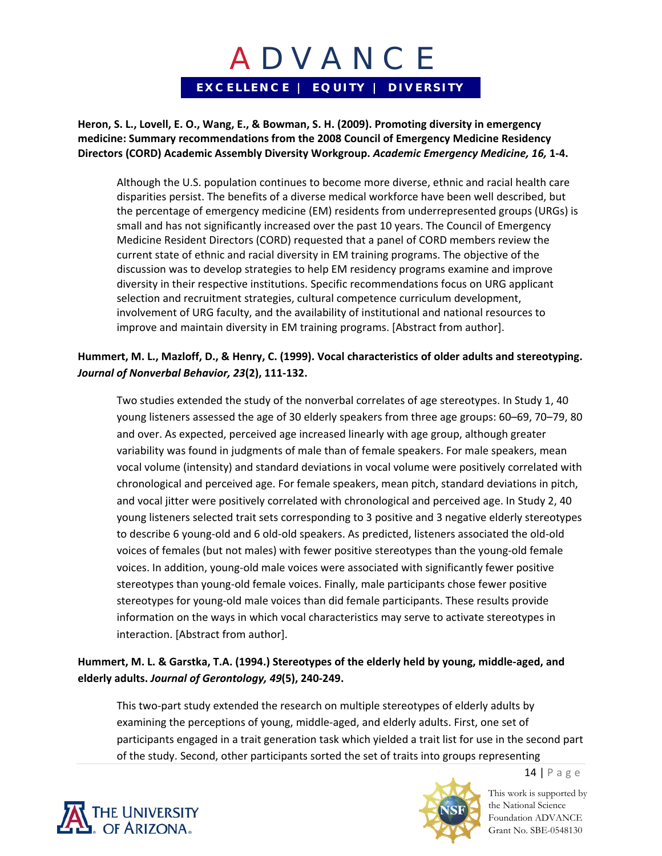**Heron, S. L., Lovell, E. O., Wang, E., & Bowman, S. H. (2009). Promoting diversity in emergency medicine: Summary recommendations from the 2008 Council of Emergency Medicine Residency Directors (CORD) Academic Assembly Diversity Workgroup.** *Academic Emergency Medicine, 16,* **1‐4.**

Although the U.S. population continues to become more diverse, ethnic and racial health care disparities persist. The benefits of a diverse medical workforce have been well described, but the percentage of emergency medicine (EM) residents from underrepresented groups (URGs) is small and has not significantly increased over the past 10 years. The Council of Emergency Medicine Resident Directors (CORD) requested that a panel of CORD members review the current state of ethnic and racial diversity in EM training programs. The objective of the discussion was to develop strategies to help EM residency programs examine and improve diversity in their respective institutions. Specific recommendations focus on URG applicant selection and recruitment strategies, cultural competence curriculum development, involvement of URG faculty, and the availability of institutional and national resources to improve and maintain diversity in EM training programs. [Abstract from author].

### Hummert, M. L., Mazloff, D., & Henry, C. (1999). Vocal characteristics of older adults and stereotyping. *Journal of Nonverbal Behavior, 23***(2), 111‐132.**

Two studies extended the study of the nonverbal correlates of age stereotypes. In Study 1, 40 young listeners assessed the age of 30 elderly speakers from three age groups: 60–69, 70–79, 80 and over. As expected, perceived age increased linearly with age group, although greater variability was found in judgments of male than of female speakers. For male speakers, mean vocal volume (intensity) and standard deviations in vocal volume were positively correlated with chronological and perceived age. For female speakers, mean pitch, standard deviations in pitch, and vocal jitter were positively correlated with chronological and perceived age. In Study 2, 40 young listeners selected trait sets corresponding to 3 positive and 3 negative elderly stereotypes to describe 6 young‐old and 6 old‐old speakers. As predicted, listeners associated the old‐old voices of females (but not males) with fewer positive stereotypes than the young‐old female voices. In addition, young‐old male voices were associated with significantly fewer positive stereotypes than young‐old female voices. Finally, male participants chose fewer positive stereotypes for young‐old male voices than did female participants. These results provide information on the ways in which vocal characteristics may serve to activate stereotypes in interaction. [Abstract from author].

### **Hummert, M. L. & Garstka, T.A. (1994.) Stereotypes of the elderly held by young, middle‐aged, and elderly adults.** *Journal of Gerontology, 49***(5), 240‐249.**

This two‐part study extended the research on multiple stereotypes of elderly adults by examining the perceptions of young, middle‐aged, and elderly adults. First, one set of participants engaged in a trait generation task which yielded a trait list for use in the second part of the study. Second, other participants sorted the set of traits into groups representing





This work is supported by the National Science Foundation ADVANCE Grant No. SBE-0548130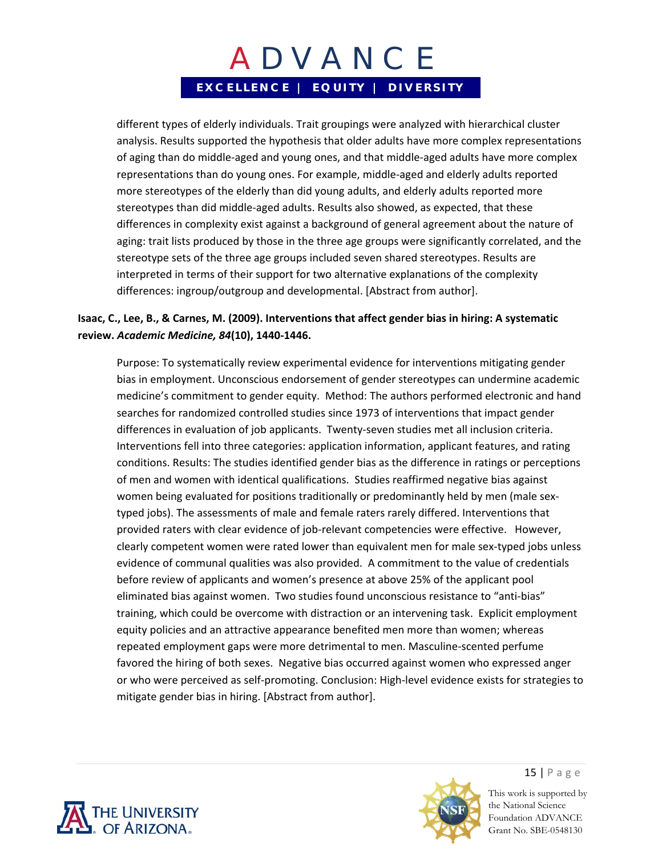different types of elderly individuals. Trait groupings were analyzed with hierarchical cluster analysis. Results supported the hypothesis that older adults have more complex representations of aging than do middle‐aged and young ones, and that middle‐aged adults have more complex representations than do young ones. For example, middle‐aged and elderly adults reported more stereotypes of the elderly than did young adults, and elderly adults reported more stereotypes than did middle‐aged adults. Results also showed, as expected, that these differences in complexity exist against a background of general agreement about the nature of aging: trait lists produced by those in the three age groups were significantly correlated, and the stereotype sets of the three age groups included seven shared stereotypes. Results are interpreted in terms of their support for two alternative explanations of the complexity differences: ingroup/outgroup and developmental. [Abstract from author].

### **Isaac, C., Lee, B., & Carnes, M. (2009). Interventions that affect gender bias in hiring: A systematic review.** *Academic Medicine, 84***(10), 1440‐1446.**

Purpose: To systematically review experimental evidence for interventions mitigating gender bias in employment. Unconscious endorsement of gender stereotypes can undermine academic medicine's commitment to gender equity. Method: The authors performed electronic and hand searches for randomized controlled studies since 1973 of interventions that impact gender differences in evaluation of job applicants. Twenty‐seven studies met all inclusion criteria. Interventions fell into three categories: application information, applicant features, and rating conditions. Results: The studies identified gender bias as the difference in ratings or perceptions of men and women with identical qualifications. Studies reaffirmed negative bias against women being evaluated for positions traditionally or predominantly held by men (male sextyped jobs). The assessments of male and female raters rarely differed. Interventions that provided raters with clear evidence of job-relevant competencies were effective. However, clearly competent women were rated lower than equivalent men for male sex‐typed jobs unless evidence of communal qualities was also provided. A commitment to the value of credentials before review of applicants and women's presence at above 25% of the applicant pool eliminated bias against women. Two studies found unconscious resistance to "anti‐bias" training, which could be overcome with distraction or an intervening task. Explicit employment equity policies and an attractive appearance benefited men more than women; whereas repeated employment gaps were more detrimental to men. Masculine‐scented perfume favored the hiring of both sexes. Negative bias occurred against women who expressed anger or who were perceived as self‐promoting. Conclusion: High‐level evidence exists for strategies to mitigate gender bias in hiring. [Abstract from author].





15 | Page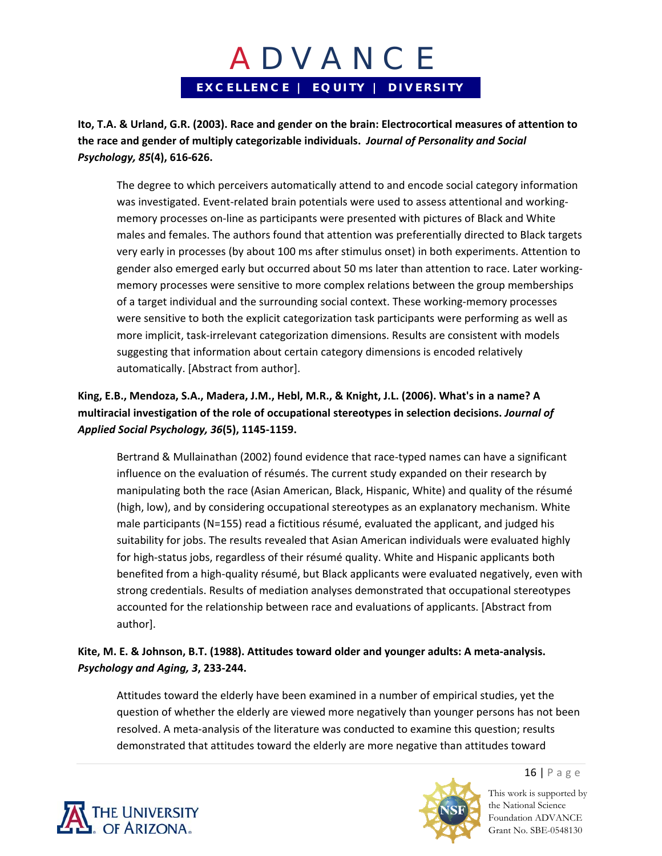**Ito, T.A. & Urland, G.R. (2003). Race and gender on the brain: Electrocortical measures of attention to the race and gender of multiply categorizable individuals.** *Journal of Personality and Social Psychology, 85***(4), 616‐626.**

The degree to which perceivers automatically attend to and encode social category information was investigated. Event-related brain potentials were used to assess attentional and workingmemory processes on‐line as participants were presented with pictures of Black and White males and females. The authors found that attention was preferentially directed to Black targets very early in processes (by about 100 ms after stimulus onset) in both experiments. Attention to gender also emerged early but occurred about 50 ms later than attention to race. Later working‐ memory processes were sensitive to more complex relations between the group memberships of a target individual and the surrounding social context. These working‐memory processes were sensitive to both the explicit categorization task participants were performing as well as more implicit, task‐irrelevant categorization dimensions. Results are consistent with models suggesting that information about certain category dimensions is encoded relatively automatically. [Abstract from author].

## **King, E.B., Mendoza, S.A., Madera, J.M., Hebl, M.R., & Knight, J.L. (2006). What's in a name? A multiracial investigation of the role of occupational stereotypes in selection decisions.** *Journal of Applied Social Psychology, 36***(5), 1145‐1159.**

Bertrand & Mullainathan (2002) found evidence that race‐typed names can have a significant influence on the evaluation of résumés. The current study expanded on their research by manipulating both the race (Asian American, Black, Hispanic, White) and quality of the résumé (high, low), and by considering occupational stereotypes as an explanatory mechanism. White male participants (N=155) read a fictitious résumé, evaluated the applicant, and judged his suitability for jobs. The results revealed that Asian American individuals were evaluated highly for high‐status jobs, regardless of their résumé quality. White and Hispanic applicants both benefited from a high‐quality résumé, but Black applicants were evaluated negatively, even with strong credentials. Results of mediation analyses demonstrated that occupational stereotypes accounted for the relationship between race and evaluations of applicants. [Abstract from author].

## **Kite, M. E. & Johnson, B.T. (1988). Attitudes toward older and younger adults: A meta‐analysis.**  *Psychology and Aging, 3***, 233‐244.**

Attitudes toward the elderly have been examined in a number of empirical studies, yet the question of whether the elderly are viewed more negatively than younger persons has not been resolved. A meta-analysis of the literature was conducted to examine this question; results demonstrated that attitudes toward the elderly are more negative than attitudes toward



This work is supported by the National Science Foundation ADVANCE Grant No. SBE-0548130

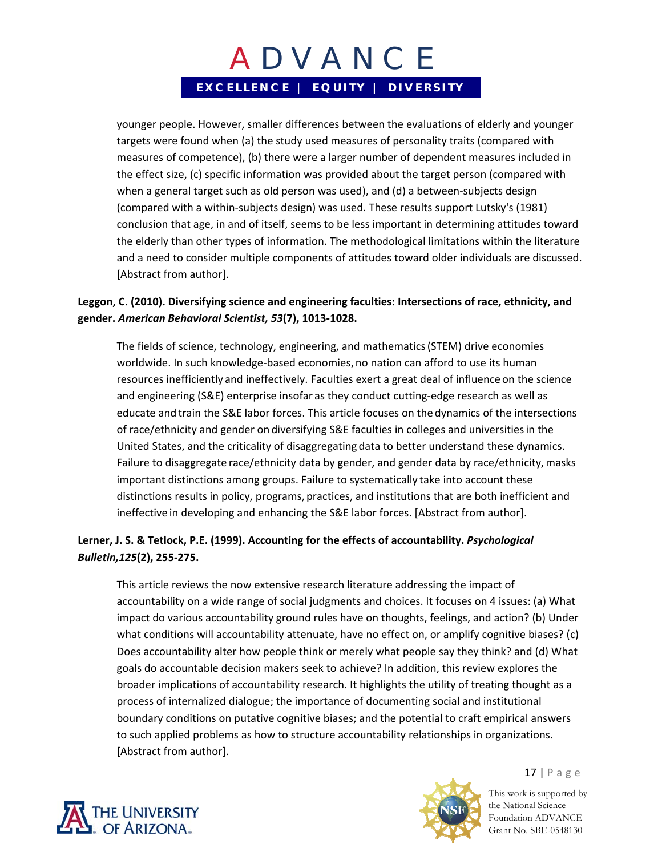younger people. However, smaller differences between the evaluations of elderly and younger targets were found when (a) the study used measures of personality traits (compared with measures of competence), (b) there were a larger number of dependent measures included in the effect size, (c) specific information was provided about the target person (compared with when a general target such as old person was used), and (d) a between-subjects design (compared with a within‐subjects design) was used. These results support Lutsky's (1981) conclusion that age, in and of itself, seems to be less important in determining attitudes toward the elderly than other types of information. The methodological limitations within the literature and a need to consider multiple components of attitudes toward older individuals are discussed. [Abstract from author].

### **Leggon, C. (2010). Diversifying science and engineering faculties: Intersections of race, ethnicity, and gender.** *American Behavioral Scientist, 53***(7), 1013‐1028.**

The fields of science, technology, engineering, and mathematics(STEM) drive economies worldwide. In such knowledge-based economies, no nation can afford to use its human resources inefficiently and ineffectively. Faculties exert a great deal of influence on the science and engineering (S&E) enterprise insofar as they conduct cutting-edge research as well as educate and train the S&E labor forces. This article focuses on the dynamics of the intersections of race/ethnicity and gender on diversifying S&E faculties in colleges and universitiesin the United States, and the criticality of disaggregating data to better understand these dynamics. Failure to disaggregate race/ethnicity data by gender, and gender data by race/ethnicity, masks important distinctions among groups. Failure to systematically take into account these distinctions results in policy, programs, practices, and institutions that are both inefficient and ineffective in developing and enhancing the S&E labor forces. [Abstract from author].

## **Lerner, J. S. & Tetlock, P.E. (1999). Accounting for the effects of accountability.** *Psychological Bulletin,125***(2), 255‐275.**

This article reviews the now extensive research literature addressing the impact of accountability on a wide range of social judgments and choices. It focuses on 4 issues: (a) What impact do various accountability ground rules have on thoughts, feelings, and action? (b) Under what conditions will accountability attenuate, have no effect on, or amplify cognitive biases? (c) Does accountability alter how people think or merely what people say they think? and (d) What goals do accountable decision makers seek to achieve? In addition, this review explores the broader implications of accountability research. It highlights the utility of treating thought as a process of internalized dialogue; the importance of documenting social and institutional boundary conditions on putative cognitive biases; and the potential to craft empirical answers to such applied problems as how to structure accountability relationships in organizations. [Abstract from author].





17 | Page This work is supported by

the National Science Foundation ADVANCE Grant No. SBE-0548130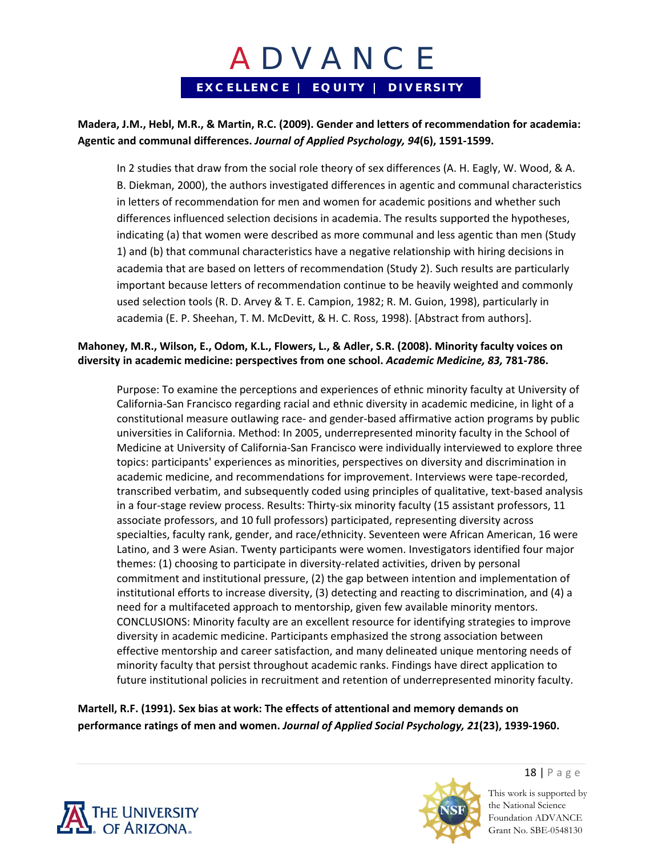### **Madera, J.M., Hebl, M.R., & Martin, R.C. (2009). Gender and letters of recommendation for academia: Agentic and communal differences.** *Journal of Applied Psychology, 94***(6), 1591‐1599.**

In 2 studies that draw from the social role theory of sex differences (A. H. Eagly, W. Wood, & A. B. Diekman, 2000), the authors investigated differences in agentic and communal characteristics in letters of recommendation for men and women for academic positions and whether such differences influenced selection decisions in academia. The results supported the hypotheses, indicating (a) that women were described as more communal and less agentic than men (Study 1) and (b) that communal characteristics have a negative relationship with hiring decisions in academia that are based on letters of recommendation (Study 2). Such results are particularly important because letters of recommendation continue to be heavily weighted and commonly used selection tools (R. D. Arvey & T. E. Campion, 1982; R. M. Guion, 1998), particularly in academia (E. P. Sheehan, T. M. McDevitt, & H. C. Ross, 1998). [Abstract from authors].

#### **Mahoney, M.R., Wilson, E., Odom, K.L., Flowers, L., & Adler, S.R. (2008). Minority faculty voices on diversity in academic medicine: perspectives from one school.** *Academic Medicine, 83,* **781‐786.**

Purpose: To examine the perceptions and experiences of ethnic minority faculty at University of California‐San Francisco regarding racial and ethnic diversity in academic medicine, in light of a constitutional measure outlawing race‐ and gender‐based affirmative action programs by public universities in California. Method: In 2005, underrepresented minority faculty in the School of Medicine at University of California‐San Francisco were individually interviewed to explore three topics: participants' experiences as minorities, perspectives on diversity and discrimination in academic medicine, and recommendations for improvement. Interviews were tape‐recorded, transcribed verbatim, and subsequently coded using principles of qualitative, text‐based analysis in a four-stage review process. Results: Thirty-six minority faculty (15 assistant professors, 11 associate professors, and 10 full professors) participated, representing diversity across specialties, faculty rank, gender, and race/ethnicity. Seventeen were African American, 16 were Latino, and 3 were Asian. Twenty participants were women. Investigators identified four major themes: (1) choosing to participate in diversity‐related activities, driven by personal commitment and institutional pressure, (2) the gap between intention and implementation of institutional efforts to increase diversity, (3) detecting and reacting to discrimination, and (4) a need for a multifaceted approach to mentorship, given few available minority mentors. CONCLUSIONS: Minority faculty are an excellent resource for identifying strategies to improve diversity in academic medicine. Participants emphasized the strong association between effective mentorship and career satisfaction, and many delineated unique mentoring needs of minority faculty that persist throughout academic ranks. Findings have direct application to future institutional policies in recruitment and retention of underrepresented minority faculty.

### **Martell, R.F. (1991). Sex bias at work: The effects of attentional and memory demands on performance ratings of men and women.** *Journal of Applied Social Psychology, 21***(23), 1939‐1960.**





This work is supported by the National Science Foundation ADVANCE Grant No. SBE-0548130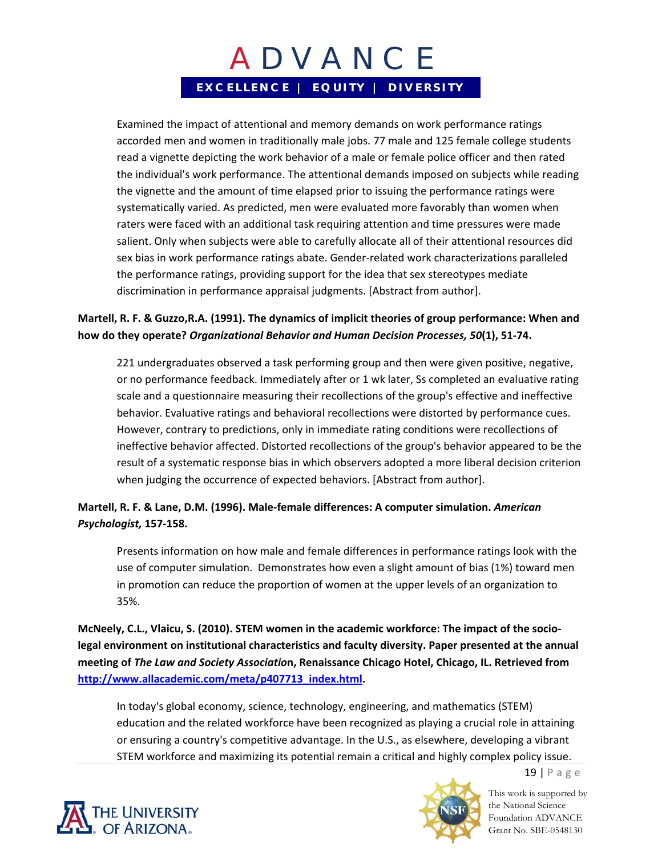Examined the impact of attentional and memory demands on work performance ratings accorded men and women in traditionally male jobs. 77 male and 125 female college students read a vignette depicting the work behavior of a male or female police officer and then rated the individual's work performance. The attentional demands imposed on subjects while reading the vignette and the amount of time elapsed prior to issuing the performance ratings were systematically varied. As predicted, men were evaluated more favorably than women when raters were faced with an additional task requiring attention and time pressures were made salient. Only when subjects were able to carefully allocate all of their attentional resources did sex bias in work performance ratings abate. Gender‐related work characterizations paralleled the performance ratings, providing support for the idea that sex stereotypes mediate discrimination in performance appraisal judgments. [Abstract from author].

### **Martell, R. F. & Guzzo,R.A. (1991). The dynamics of implicit theories of group performance: When and how do they operate?** *Organizational Behavior and Human Decision Processes, 50***(1), 51‐74.**

221 undergraduates observed a task performing group and then were given positive, negative, or no performance feedback. Immediately after or 1 wk later, Ss completed an evaluative rating scale and a questionnaire measuring their recollections of the group's effective and ineffective behavior. Evaluative ratings and behavioral recollections were distorted by performance cues. However, contrary to predictions, only in immediate rating conditions were recollections of ineffective behavior affected. Distorted recollections of the group's behavior appeared to be the result of a systematic response bias in which observers adopted a more liberal decision criterion when judging the occurrence of expected behaviors. [Abstract from author].

### **Martell, R. F. & Lane, D.M. (1996). Male‐female differences: A computer simulation.** *American Psychologist,* **157‐158.**

Presents information on how male and female differences in performance ratings look with the use of computer simulation. Demonstrates how even a slight amount of bias (1%) toward men in promotion can reduce the proportion of women at the upper levels of an organization to 35%.

**McNeely, C.L., Vlaicu, S. (2010). STEM women in the academic workforce: The impact of the socio‐ legal environment on institutional characteristics and faculty diversity. Paper presented at the annual meeting of** *The Law and Society Associatio***n, Renaissance Chicago Hotel, Chicago, IL. Retrieved from http://www.allacademic.com/meta/p407713\_index.html.**

In today's global economy, science, technology, engineering, and mathematics (STEM) education and the related workforce have been recognized as playing a crucial role in attaining or ensuring a country's competitive advantage. In the U.S., as elsewhere, developing a vibrant STEM workforce and maximizing its potential remain a critical and highly complex policy issue.



This work is supported by the National Science Foundation ADVANCE Grant No. SBE-0548130

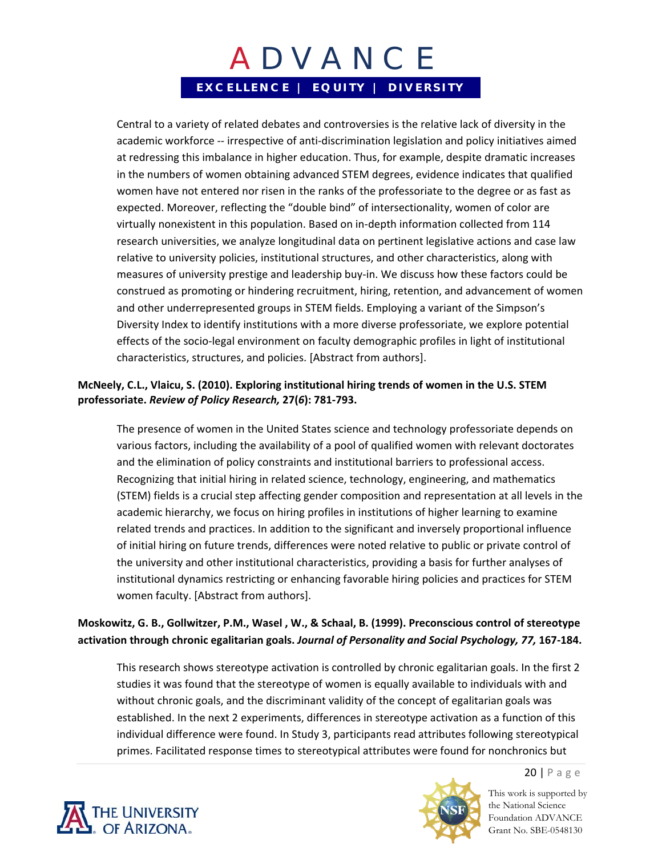Central to a variety of related debates and controversies is the relative lack of diversity in the academic workforce ‐‐ irrespective of anti‐discrimination legislation and policy initiatives aimed at redressing this imbalance in higher education. Thus, for example, despite dramatic increases in the numbers of women obtaining advanced STEM degrees, evidence indicates that qualified women have not entered nor risen in the ranks of the professoriate to the degree or as fast as expected. Moreover, reflecting the "double bind" of intersectionality, women of color are virtually nonexistent in this population. Based on in‐depth information collected from 114 research universities, we analyze longitudinal data on pertinent legislative actions and case law relative to university policies, institutional structures, and other characteristics, along with measures of university prestige and leadership buy‐in. We discuss how these factors could be construed as promoting or hindering recruitment, hiring, retention, and advancement of women and other underrepresented groups in STEM fields. Employing a variant of the Simpson's Diversity Index to identify institutions with a more diverse professoriate, we explore potential effects of the socio‐legal environment on faculty demographic profiles in light of institutional characteristics, structures, and policies. [Abstract from authors].

### **McNeely, C.L., Vlaicu, S. (2010). Exploring institutional hiring trends of women in the U.S. STEM professoriate.** *Review of Policy Research,* **27(***6***): 781‐793.**

The presence of women in the United States science and technology professoriate depends on various factors, including the availability of a pool of qualified women with relevant doctorates and the elimination of policy constraints and institutional barriers to professional access. Recognizing that initial hiring in related science, technology, engineering, and mathematics (STEM) fields is a crucial step affecting gender composition and representation at all levels in the academic hierarchy, we focus on hiring profiles in institutions of higher learning to examine related trends and practices. In addition to the significant and inversely proportional influence of initial hiring on future trends, differences were noted relative to public or private control of the university and other institutional characteristics, providing a basis for further analyses of institutional dynamics restricting or enhancing favorable hiring policies and practices for STEM women faculty. [Abstract from authors].

### **Moskowitz, G. B., Gollwitzer, P.M., Wasel , W., & Schaal, B. (1999). Preconscious control of stereotype activation through chronic egalitarian goals.** *Journal of Personality and Social Psychology, 77,* **167‐184.**

This research shows stereotype activation is controlled by chronic egalitarian goals. In the first 2 studies it was found that the stereotype of women is equally available to individuals with and without chronic goals, and the discriminant validity of the concept of egalitarian goals was established. In the next 2 experiments, differences in stereotype activation as a function of this individual difference were found. In Study 3, participants read attributes following stereotypical primes. Facilitated response times to stereotypical attributes were found for nonchronics but





This work is supported by the National Science Foundation ADVANCE Grant No. SBE-0548130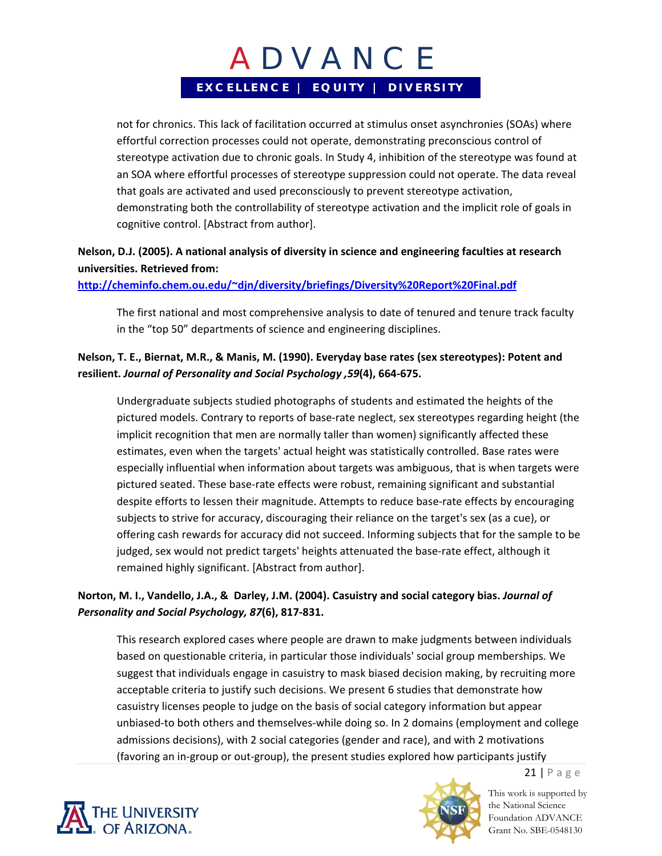not for chronics. This lack of facilitation occurred at stimulus onset asynchronies (SOAs) where effortful correction processes could not operate, demonstrating preconscious control of stereotype activation due to chronic goals. In Study 4, inhibition of the stereotype was found at an SOA where effortful processes of stereotype suppression could not operate. The data reveal that goals are activated and used preconsciously to prevent stereotype activation, demonstrating both the controllability of stereotype activation and the implicit role of goals in cognitive control. [Abstract from author].

## **Nelson, D.J. (2005). A national analysis of diversity in science and engineering faculties at research universities. Retrieved from:**

**http://cheminfo.chem.ou.edu/~djn/diversity/briefings/Diversity%20Report%20Final.pdf**

The first national and most comprehensive analysis to date of tenured and tenure track faculty in the "top 50" departments of science and engineering disciplines.

## **Nelson, T. E., Biernat, M.R., & Manis, M. (1990). Everyday base rates (sex stereotypes): Potent and resilient.** *Journal of Personality and Social Psychology ,59***(4), 664‐675.**

Undergraduate subjects studied photographs of students and estimated the heights of the pictured models. Contrary to reports of base‐rate neglect, sex stereotypes regarding height (the implicit recognition that men are normally taller than women) significantly affected these estimates, even when the targets' actual height was statistically controlled. Base rates were especially influential when information about targets was ambiguous, that is when targets were pictured seated. These base‐rate effects were robust, remaining significant and substantial despite efforts to lessen their magnitude. Attempts to reduce base‐rate effects by encouraging subjects to strive for accuracy, discouraging their reliance on the target's sex (as a cue), or offering cash rewards for accuracy did not succeed. Informing subjects that for the sample to be judged, sex would not predict targets' heights attenuated the base-rate effect, although it remained highly significant. [Abstract from author].

## **Norton, M. I., Vandello, J.A., & Darley, J.M. (2004). Casuistry and social category bias.** *Journal of Personality and Social Psychology, 87***(6), 817‐831.**

This research explored cases where people are drawn to make judgments between individuals based on questionable criteria, in particular those individuals' social group memberships. We suggest that individuals engage in casuistry to mask biased decision making, by recruiting more acceptable criteria to justify such decisions. We present 6 studies that demonstrate how casuistry licenses people to judge on the basis of social category information but appear unbiased‐to both others and themselves‐while doing so. In 2 domains (employment and college admissions decisions), with 2 social categories (gender and race), and with 2 motivations (favoring an in‐group or out‐group), the present studies explored how participants justify





This work is supported by the National Science Foundation ADVANCE Grant No. SBE-0548130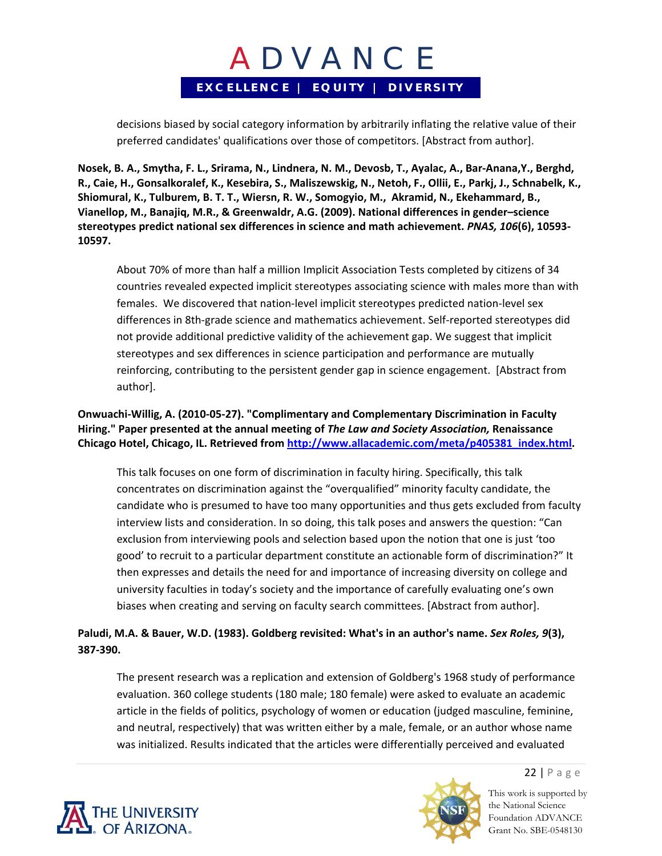decisions biased by social category information by arbitrarily inflating the relative value of their preferred candidates' qualifications over those of competitors. [Abstract from author].

Nosek, B. A., Smytha, F. L., Srirama, N., Lindnera, N. M., Devosb, T., Ayalac, A., Bar-Anana, Y., Berghd, R., Caie, H., Gonsalkoralef, K., Kesebira, S., Maliszewskig, N., Netoh, F., Ollii, E., Parkj, J., Schnabelk, K., **Shiomural, K., Tulburem, B. T. T., Wiersn, R. W., Somogyio, M., Akramid, N., Ekehammard, B., Vianellop, M., Banajiq, M.R., & Greenwaldr, A.G. (2009). National differences in gender–science stereotypes predict national sex differences in science and math achievement.** *PNAS, 106***(6), 10593‐ 10597.** 

About 70% of more than half a million Implicit Association Tests completed by citizens of 34 countries revealed expected implicit stereotypes associating science with males more than with females. We discovered that nation‐level implicit stereotypes predicted nation‐level sex differences in 8th‐grade science and mathematics achievement. Self‐reported stereotypes did not provide additional predictive validity of the achievement gap. We suggest that implicit stereotypes and sex differences in science participation and performance are mutually reinforcing, contributing to the persistent gender gap in science engagement. [Abstract from author].

**Onwuachi‐Willig, A. (2010‐05‐27). "Complimentary and Complementary Discrimination in Faculty Hiring." Paper presented at the annual meeting of** *The Law and Society Association,* **Renaissance Chicago Hotel, Chicago, IL. Retrieved from http://www.allacademic.com/meta/p405381\_index.html.**

This talk focuses on one form of discrimination in faculty hiring. Specifically, this talk concentrates on discrimination against the "overqualified" minority faculty candidate, the candidate who is presumed to have too many opportunities and thus gets excluded from faculty interview lists and consideration. In so doing, this talk poses and answers the question: "Can exclusion from interviewing pools and selection based upon the notion that one is just 'too good' to recruit to a particular department constitute an actionable form of discrimination?" It then expresses and details the need for and importance of increasing diversity on college and university faculties in today's society and the importance of carefully evaluating one's own biases when creating and serving on faculty search committees. [Abstract from author].

### **Paludi, M.A. & Bauer, W.D. (1983). Goldberg revisited: What's in an author's name.** *Sex Roles, 9***(3), 387‐390.**

The present research was a replication and extension of Goldberg's 1968 study of performance evaluation. 360 college students (180 male; 180 female) were asked to evaluate an academic article in the fields of politics, psychology of women or education (judged masculine, feminine, and neutral, respectively) that was written either by a male, female, or an author whose name was initialized. Results indicated that the articles were differentially perceived and evaluated



22 | Page

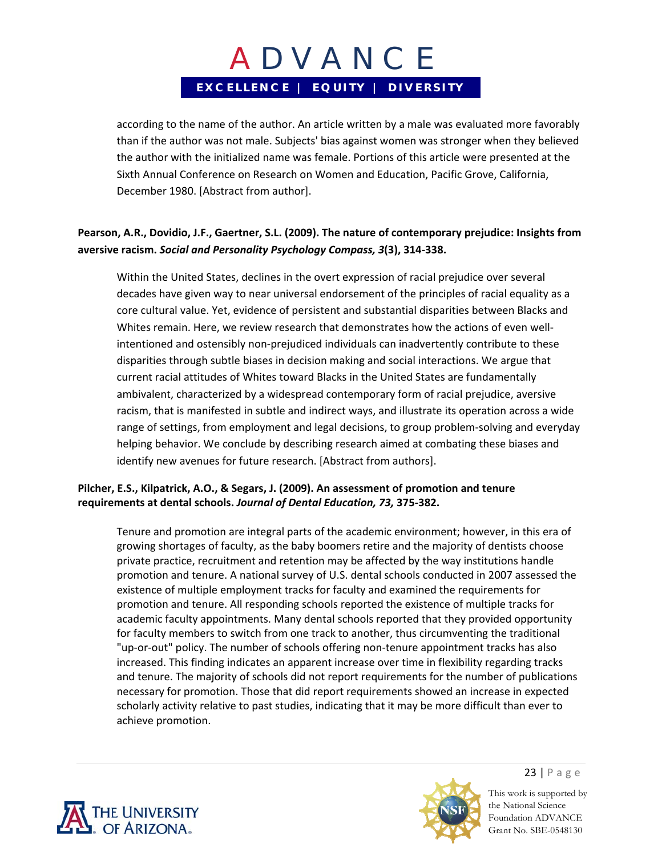according to the name of the author. An article written by a male was evaluated more favorably than if the author was not male. Subjects' bias against women was stronger when they believed the author with the initialized name was female. Portions of this article were presented at the Sixth Annual Conference on Research on Women and Education, Pacific Grove, California, December 1980. [Abstract from author].

### **Pearson, A.R., Dovidio, J.F., Gaertner, S.L. (2009). The nature of contemporary prejudice: Insights from aversive racism.** *Social and Personality Psychology Compass, 3***(3), 314‐338.**

Within the United States, declines in the overt expression of racial prejudice over several decades have given way to near universal endorsement of the principles of racial equality as a core cultural value. Yet, evidence of persistent and substantial disparities between Blacks and Whites remain. Here, we review research that demonstrates how the actions of even wellintentioned and ostensibly non‐prejudiced individuals can inadvertently contribute to these disparities through subtle biases in decision making and social interactions. We argue that current racial attitudes of Whites toward Blacks in the United States are fundamentally ambivalent, characterized by a widespread contemporary form of racial prejudice, aversive racism, that is manifested in subtle and indirect ways, and illustrate its operation across a wide range of settings, from employment and legal decisions, to group problem-solving and everyday helping behavior. We conclude by describing research aimed at combating these biases and identify new avenues for future research. [Abstract from authors].

### **Pilcher, E.S., Kilpatrick, A.O., & Segars, J. (2009). An assessment of promotion and tenure requirements at dental schools.** *Journal of Dental Education, 73,* **375‐382.**

Tenure and promotion are integral parts of the academic environment; however, in this era of growing shortages of faculty, as the baby boomers retire and the majority of dentists choose private practice, recruitment and retention may be affected by the way institutions handle promotion and tenure. A national survey of U.S. dental schools conducted in 2007 assessed the existence of multiple employment tracks for faculty and examined the requirements for promotion and tenure. All responding schools reported the existence of multiple tracks for academic faculty appointments. Many dental schools reported that they provided opportunity for faculty members to switch from one track to another, thus circumventing the traditional "up‐or‐out" policy. The number of schools offering non‐tenure appointment tracks has also increased. This finding indicates an apparent increase over time in flexibility regarding tracks and tenure. The majority of schools did not report requirements for the number of publications necessary for promotion. Those that did report requirements showed an increase in expected scholarly activity relative to past studies, indicating that it may be more difficult than ever to achieve promotion.





23 | Page This work is supported by the National Science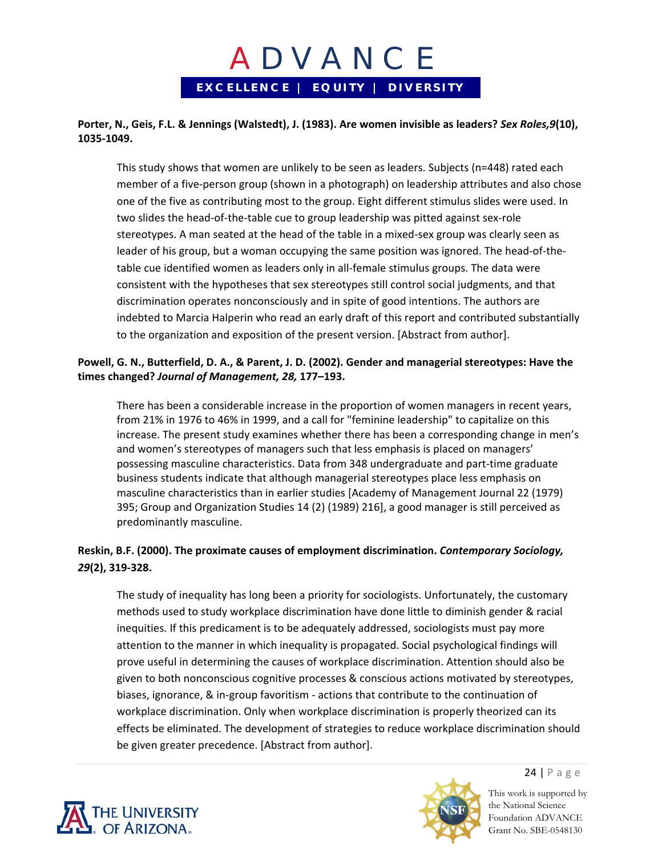

#### **Porter, N., Geis, F.L. & Jennings (Walstedt), J. (1983). Are women invisible as leaders?** *Sex Roles,9***(10), 1035‐1049.**

This study shows that women are unlikely to be seen as leaders. Subjects (n=448) rated each member of a five‐person group (shown in a photograph) on leadership attributes and also chose one of the five as contributing most to the group. Eight different stimulus slides were used. In two slides the head‐of‐the‐table cue to group leadership was pitted against sex‐role stereotypes. A man seated at the head of the table in a mixed‐sex group was clearly seen as leader of his group, but a woman occupying the same position was ignored. The head‐of‐the‐ table cue identified women as leaders only in all‐female stimulus groups. The data were consistent with the hypotheses that sex stereotypes still control social judgments, and that discrimination operates nonconsciously and in spite of good intentions. The authors are indebted to Marcia Halperin who read an early draft of this report and contributed substantially to the organization and exposition of the present version. [Abstract from author].

#### **Powell, G. N., Butterfield, D. A., & Parent, J. D. (2002). Gender and managerial stereotypes: Have the times changed?** *Journal of Management, 28,* **177–193.**

There has been a considerable increase in the proportion of women managers in recent years, from 21% in 1976 to 46% in 1999, and a call for "feminine leadership" to capitalize on this increase. The present study examines whether there has been a corresponding change in men's and women's stereotypes of managers such that less emphasis is placed on managers' possessing masculine characteristics. Data from 348 undergraduate and part-time graduate business students indicate that although managerial stereotypes place less emphasis on masculine characteristics than in earlier studies [Academy of Management Journal 22 (1979) 395; Group and Organization Studies 14 (2) (1989) 216], a good manager is still perceived as predominantly masculine.

### **Reskin, B.F. (2000). The proximate causes of employment discrimination.** *Contemporary Sociology, 29***(2), 319‐328.**

The study of inequality has long been a priority for sociologists. Unfortunately, the customary methods used to study workplace discrimination have done little to diminish gender & racial inequities. If this predicament is to be adequately addressed, sociologists must pay more attention to the manner in which inequality is propagated. Social psychological findings will prove useful in determining the causes of workplace discrimination. Attention should also be given to both nonconscious cognitive processes & conscious actions motivated by stereotypes, biases, ignorance, & in‐group favoritism ‐ actions that contribute to the continuation of workplace discrimination. Only when workplace discrimination is properly theorized can its effects be eliminated. The development of strategies to reduce workplace discrimination should be given greater precedence. [Abstract from author].





24 | Page This work is supported by

the National Science Foundation ADVANCE Grant No. SBE-0548130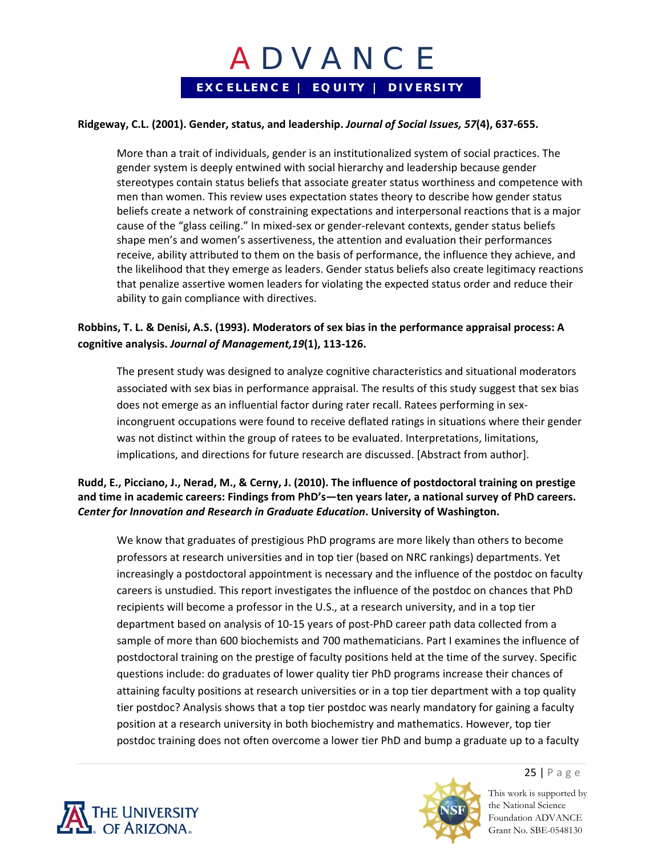

#### **Ridgeway, C.L. (2001). Gender, status, and leadership.** *Journal of Social Issues, 57***(4), 637‐655.**

More than a trait of individuals, gender is an institutionalized system of social practices. The gender system is deeply entwined with social hierarchy and leadership because gender stereotypes contain status beliefs that associate greater status worthiness and competence with men than women. This review uses expectation states theory to describe how gender status beliefs create a network of constraining expectations and interpersonal reactions that is a major cause of the "glass ceiling." In mixed-sex or gender-relevant contexts, gender status beliefs shape men's and women's assertiveness, the attention and evaluation their performances receive, ability attributed to them on the basis of performance, the influence they achieve, and the likelihood that they emerge as leaders. Gender status beliefs also create legitimacy reactions that penalize assertive women leaders for violating the expected status order and reduce their ability to gain compliance with directives.

### **Robbins, T. L. & Denisi, A.S. (1993). Moderators of sex bias in the performance appraisal process: A cognitive analysis.** *Journal of Management,19***(1), 113‐126.**

The present study was designed to analyze cognitive characteristics and situational moderators associated with sex bias in performance appraisal. The results of this study suggest that sex bias does not emerge as an influential factor during rater recall. Ratees performing in sex‐ incongruent occupations were found to receive deflated ratings in situations where their gender was not distinct within the group of ratees to be evaluated. Interpretations, limitations, implications, and directions for future research are discussed. [Abstract from author].

### **Rudd, E., Picciano, J., Nerad, M., & Cerny, J. (2010). The influence of postdoctoral training on prestige and time in academic careers: Findings from PhD's—ten years later, a national survey of PhD careers.** *Center for Innovation and Research in Graduate Education***. University of Washington.**

We know that graduates of prestigious PhD programs are more likely than others to become professors at research universities and in top tier (based on NRC rankings) departments. Yet increasingly a postdoctoral appointment is necessary and the influence of the postdoc on faculty careers is unstudied. This report investigates the influence of the postdoc on chances that PhD recipients will become a professor in the U.S., at a research university, and in a top tier department based on analysis of 10‐15 years of post‐PhD career path data collected from a sample of more than 600 biochemists and 700 mathematicians. Part I examines the influence of postdoctoral training on the prestige of faculty positions held at the time of the survey. Specific questions include: do graduates of lower quality tier PhD programs increase their chances of attaining faculty positions at research universities or in a top tier department with a top quality tier postdoc? Analysis shows that a top tier postdoc was nearly mandatory for gaining a faculty position at a research university in both biochemistry and mathematics. However, top tier postdoc training does not often overcome a lower tier PhD and bump a graduate up to a faculty





25 | Page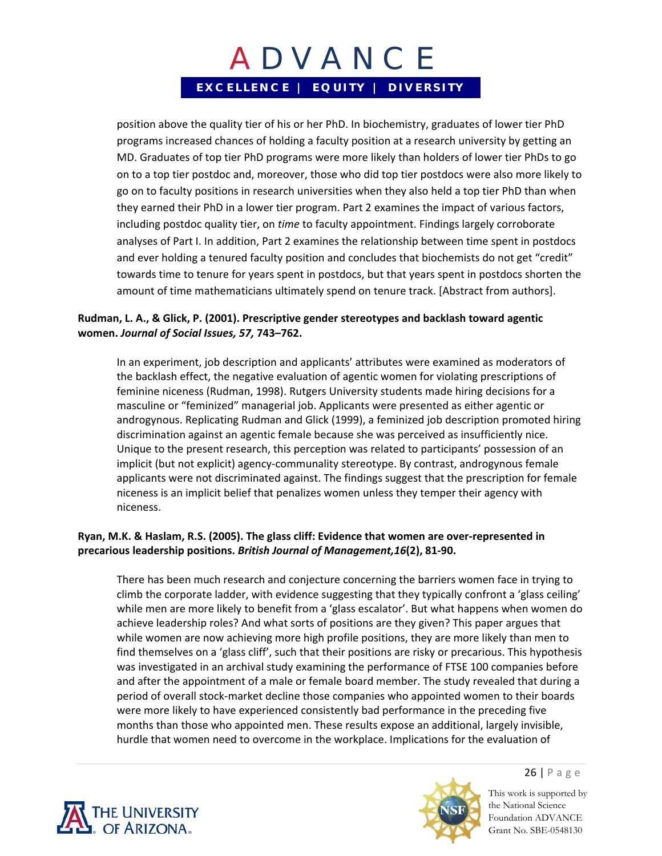position above the quality tier of his or her PhD. In biochemistry, graduates of lower tier PhD programs increased chances of holding a faculty position at a research university by getting an MD. Graduates of top tier PhD programs were more likely than holders of lower tier PhDs to go on to a top tier postdoc and, moreover, those who did top tier postdocs were also more likely to go on to faculty positions in research universities when they also held a top tier PhD than when they earned their PhD in a lower tier program. Part 2 examines the impact of various factors, including postdoc quality tier, on *time* to faculty appointment. Findings largely corroborate analyses of Part I. In addition, Part 2 examines the relationship between time spent in postdocs and ever holding a tenured faculty position and concludes that biochemists do not get "credit" towards time to tenure for years spent in postdocs, but that years spent in postdocs shorten the amount of time mathematicians ultimately spend on tenure track. [Abstract from authors].

### **Rudman, L. A., & Glick, P. (2001). Prescriptive gender stereotypes and backlash toward agentic women.** *Journal of Social Issues, 57,* **743–762.**

In an experiment, job description and applicants' attributes were examined as moderators of the backlash effect, the negative evaluation of agentic women for violating prescriptions of feminine niceness (Rudman, 1998). Rutgers University students made hiring decisions for a masculine or "feminized" managerial job. Applicants were presented as either agentic or androgynous. Replicating Rudman and Glick (1999), a feminized job description promoted hiring discrimination against an agentic female because she was perceived as insufficiently nice. Unique to the present research, this perception was related to participants' possession of an implicit (but not explicit) agency-communality stereotype. By contrast, androgynous female applicants were not discriminated against. The findings suggest that the prescription for female niceness is an implicit belief that penalizes women unless they temper their agency with niceness.

### **Ryan, M.K. & Haslam, R.S. (2005). The glass cliff: Evidence that women are over‐represented in precarious leadership positions.** *British Journal of Management,16***(2), 81‐90.**

There has been much research and conjecture concerning the barriers women face in trying to climb the corporate ladder, with evidence suggesting that they typically confront a 'glass ceiling' while men are more likely to benefit from a 'glass escalator'. But what happens when women do achieve leadership roles? And what sorts of positions are they given? This paper argues that while women are now achieving more high profile positions, they are more likely than men to find themselves on a 'glass cliff', such that their positions are risky or precarious. This hypothesis was investigated in an archival study examining the performance of FTSE 100 companies before and after the appointment of a male or female board member. The study revealed that during a period of overall stock‐market decline those companies who appointed women to their boards were more likely to have experienced consistently bad performance in the preceding five months than those who appointed men. These results expose an additional, largely invisible, hurdle that women need to overcome in the workplace. Implications for the evaluation of





26 | Page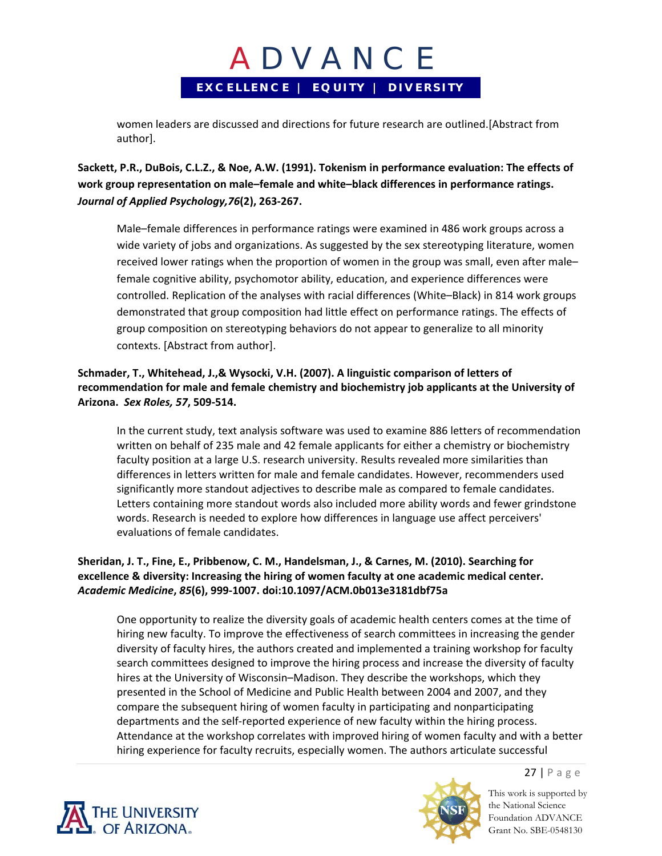women leaders are discussed and directions for future research are outlined.[Abstract from author].

**Sackett, P.R., DuBois, C.L.Z., & Noe, A.W. (1991). Tokenism in performance evaluation: The effects of work group representation on male–female and white–black differences in performance ratings.** *Journal of Applied Psychology,76***(2), 263‐267.**

Male–female differences in performance ratings were examined in 486 work groups across a wide variety of jobs and organizations. As suggested by the sex stereotyping literature, women received lower ratings when the proportion of women in the group was small, even after male– female cognitive ability, psychomotor ability, education, and experience differences were controlled. Replication of the analyses with racial differences (White–Black) in 814 work groups demonstrated that group composition had little effect on performance ratings. The effects of group composition on stereotyping behaviors do not appear to generalize to all minority contexts. [Abstract from author].

#### **Schmader, T., Whitehead, J.,& Wysocki, V.H. (2007). A linguistic comparison of letters of recommendation for male and female chemistry and biochemistry job applicants at the University of Arizona.** *Sex Roles, 57***, 509‐514.**

In the current study, text analysis software was used to examine 886 letters of recommendation written on behalf of 235 male and 42 female applicants for either a chemistry or biochemistry faculty position at a large U.S. research university. Results revealed more similarities than differences in letters written for male and female candidates. However, recommenders used significantly more standout adjectives to describe male as compared to female candidates. Letters containing more standout words also included more ability words and fewer grindstone words. Research is needed to explore how differences in language use affect perceivers' evaluations of female candidates.

### **Sheridan, J. T., Fine, E., Pribbenow, C. M., Handelsman, J., & Carnes, M. (2010). Searching for excellence & diversity: Increasing the hiring of women faculty at one academic medical center.** *Academic Medicine***,** *85***(6), 999‐1007. doi:10.1097/ACM.0b013e3181dbf75a**

One opportunity to realize the diversity goals of academic health centers comes at the time of hiring new faculty. To improve the effectiveness of search committees in increasing the gender diversity of faculty hires, the authors created and implemented a training workshop for faculty search committees designed to improve the hiring process and increase the diversity of faculty hires at the University of Wisconsin–Madison. They describe the workshops, which they presented in the School of Medicine and Public Health between 2004 and 2007, and they compare the subsequent hiring of women faculty in participating and nonparticipating departments and the self‐reported experience of new faculty within the hiring process. Attendance at the workshop correlates with improved hiring of women faculty and with a better hiring experience for faculty recruits, especially women. The authors articulate successful





27 | Page This work is supported by

the National Science Foundation ADVANCE Grant No. SBE-0548130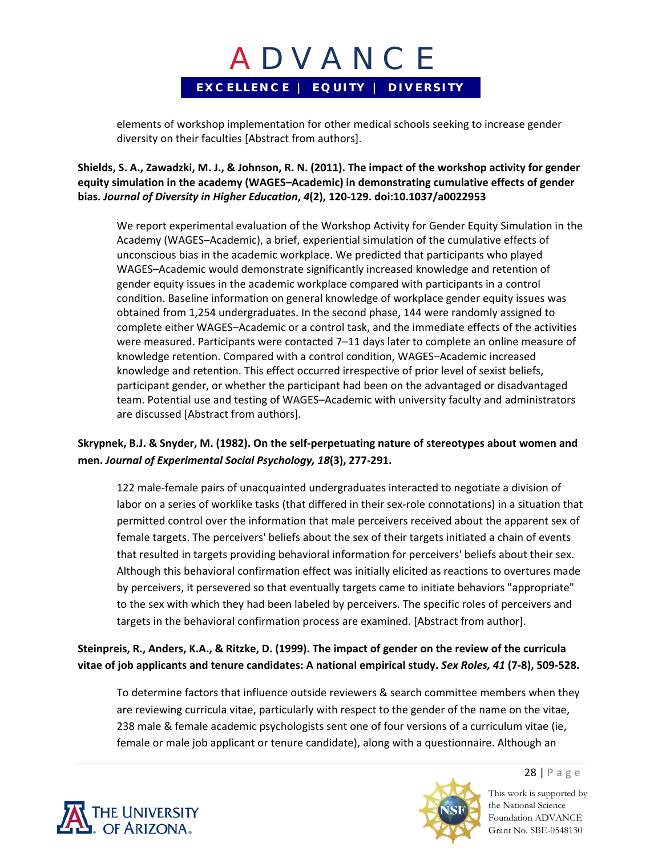elements of workshop implementation for other medical schools seeking to increase gender diversity on their faculties [Abstract from authors].

### Shields, S. A., Zawadzki, M. J., & Johnson, R. N. (2011). The impact of the workshop activity for gender **equity simulation in the academy (WAGES–Academic) in demonstrating cumulative effects of gender bias.** *Journal of Diversity in Higher Education***,** *4***(2), 120‐129. doi:10.1037/a0022953**

We report experimental evaluation of the Workshop Activity for Gender Equity Simulation in the Academy (WAGES–Academic), a brief, experiential simulation of the cumulative effects of unconscious bias in the academic workplace. We predicted that participants who played WAGES–Academic would demonstrate significantly increased knowledge and retention of gender equity issues in the academic workplace compared with participants in a control condition. Baseline information on general knowledge of workplace gender equity issues was obtained from 1,254 undergraduates. In the second phase, 144 were randomly assigned to complete either WAGES–Academic or a control task, and the immediate effects of the activities were measured. Participants were contacted 7–11 days later to complete an online measure of knowledge retention. Compared with a control condition, WAGES–Academic increased knowledge and retention. This effect occurred irrespective of prior level of sexist beliefs, participant gender, or whether the participant had been on the advantaged or disadvantaged team. Potential use and testing of WAGES–Academic with university faculty and administrators are discussed [Abstract from authors].

### **Skrypnek, B.J. & Snyder, M. (1982). On the self‐perpetuating nature of stereotypes about women and men.** *Journal of Experimental Social Psychology, 18***(3), 277‐291.**

122 male-female pairs of unacquainted undergraduates interacted to negotiate a division of labor on a series of worklike tasks (that differed in their sex‐role connotations) in a situation that permitted control over the information that male perceivers received about the apparent sex of female targets. The perceivers' beliefs about the sex of their targets initiated a chain of events that resulted in targets providing behavioral information for perceivers' beliefs about their sex. Although this behavioral confirmation effect was initially elicited as reactions to overtures made by perceivers, it persevered so that eventually targets came to initiate behaviors "appropriate" to the sex with which they had been labeled by perceivers. The specific roles of perceivers and targets in the behavioral confirmation process are examined. [Abstract from author].

## Steinpreis, R., Anders, K.A., & Ritzke, D. (1999). The impact of gender on the review of the curricula vitae of job applicants and tenure candidates: A national empirical study. Sex Roles, 41 (7-8), 509-528.

To determine factors that influence outside reviewers & search committee members when they are reviewing curricula vitae, particularly with respect to the gender of the name on the vitae, 238 male & female academic psychologists sent one of four versions of a curriculum vitae (ie, female or male job applicant or tenure candidate), along with a questionnaire. Although an



This work is supported by the National Science Foundation ADVANCE Grant No. SBE-0548130

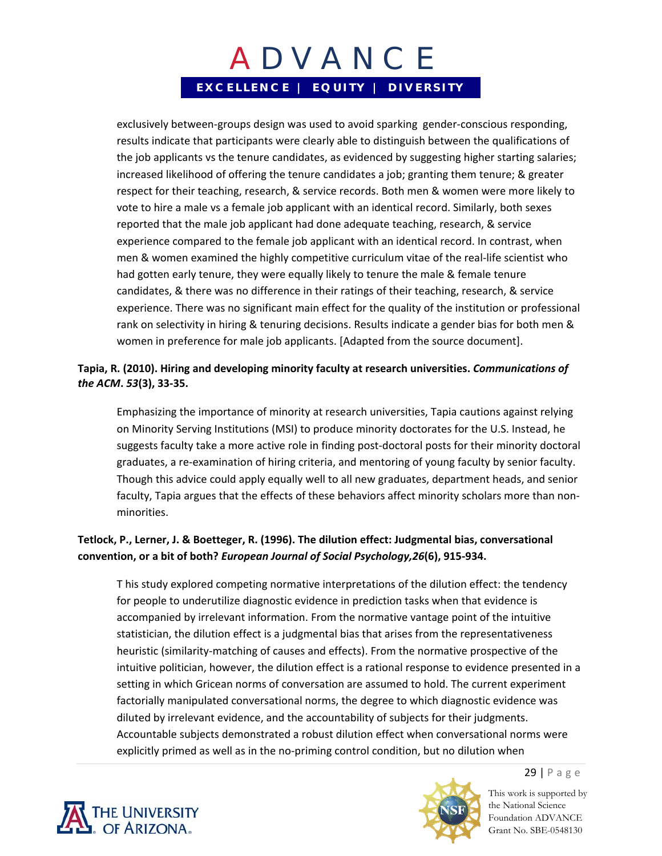exclusively between-groups design was used to avoid sparking gender-conscious responding, results indicate that participants were clearly able to distinguish between the qualifications of the job applicants vs the tenure candidates, as evidenced by suggesting higher starting salaries; increased likelihood of offering the tenure candidates a job; granting them tenure; & greater respect for their teaching, research, & service records. Both men & women were more likely to vote to hire a male vs a female job applicant with an identical record. Similarly, both sexes reported that the male job applicant had done adequate teaching, research, & service experience compared to the female job applicant with an identical record. In contrast, when men & women examined the highly competitive curriculum vitae of the real-life scientist who had gotten early tenure, they were equally likely to tenure the male & female tenure candidates, & there was no difference in their ratings of their teaching, research, & service experience. There was no significant main effect for the quality of the institution or professional rank on selectivity in hiring & tenuring decisions. Results indicate a gender bias for both men & women in preference for male job applicants. [Adapted from the source document].

### **Tapia, R. (2010). Hiring and developing minority faculty at research universities.** *Communications of the ACM***.** *53***(3), 33‐35.**

Emphasizing the importance of minority at research universities, Tapia cautions against relying on Minority Serving Institutions (MSI) to produce minority doctorates for the U.S. Instead, he suggests faculty take a more active role in finding post-doctoral posts for their minority doctoral graduates, a re‐examination of hiring criteria, and mentoring of young faculty by senior faculty. Though this advice could apply equally well to all new graduates, department heads, and senior faculty, Tapia argues that the effects of these behaviors affect minority scholars more than non‐ minorities.

### **Tetlock, P., Lerner, J. & Boetteger, R. (1996). The dilution effect: Judgmental bias, conversational convention, or a bit of both?** *European Journal of Social Psychology,26***(6), 915‐934.**

T his study explored competing normative interpretations of the dilution effect: the tendency for people to underutilize diagnostic evidence in prediction tasks when that evidence is accompanied by irrelevant information. From the normative vantage point of the intuitive statistician, the dilution effect is a judgmental bias that arises from the representativeness heuristic (similarity‐matching of causes and effects). From the normative prospective of the intuitive politician, however, the dilution effect is a rational response to evidence presented in a setting in which Gricean norms of conversation are assumed to hold. The current experiment factorially manipulated conversational norms, the degree to which diagnostic evidence was diluted by irrelevant evidence, and the accountability of subjects for their judgments. Accountable subjects demonstrated a robust dilution effect when conversational norms were explicitly primed as well as in the no‐priming control condition, but no dilution when





This work is supported by the National Science Foundation ADVANCE Grant No. SBE-0548130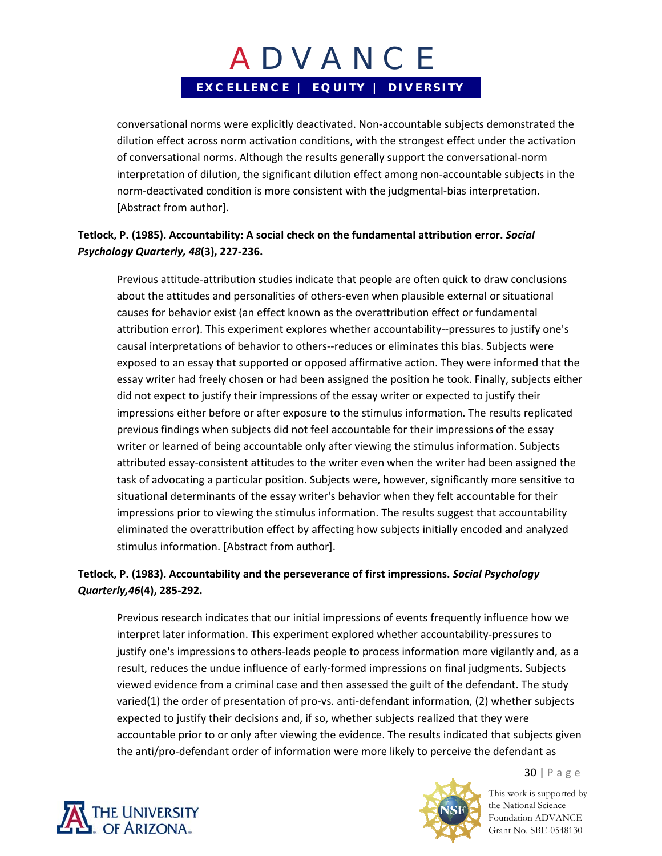conversational norms were explicitly deactivated. Non‐accountable subjects demonstrated the dilution effect across norm activation conditions, with the strongest effect under the activation of conversational norms. Although the results generally support the conversational‐norm interpretation of dilution, the significant dilution effect among non‐accountable subjects in the norm-deactivated condition is more consistent with the judgmental-bias interpretation. [Abstract from author].

### **Tetlock, P. (1985). Accountability: A social check on the fundamental attribution error.** *Social Psychology Quarterly, 48***(3), 227‐236.**

Previous attitude‐attribution studies indicate that people are often quick to draw conclusions about the attitudes and personalities of others‐even when plausible external or situational causes for behavior exist (an effect known as the overattribution effect or fundamental attribution error). This experiment explores whether accountability--pressures to justify one's causal interpretations of behavior to others‐‐reduces or eliminates this bias. Subjects were exposed to an essay that supported or opposed affirmative action. They were informed that the essay writer had freely chosen or had been assigned the position he took. Finally, subjects either did not expect to justify their impressions of the essay writer or expected to justify their impressions either before or after exposure to the stimulus information. The results replicated previous findings when subjects did not feel accountable for their impressions of the essay writer or learned of being accountable only after viewing the stimulus information. Subjects attributed essay-consistent attitudes to the writer even when the writer had been assigned the task of advocating a particular position. Subjects were, however, significantly more sensitive to situational determinants of the essay writer's behavior when they felt accountable for their impressions prior to viewing the stimulus information. The results suggest that accountability eliminated the overattribution effect by affecting how subjects initially encoded and analyzed stimulus information. [Abstract from author].

### **Tetlock, P. (1983). Accountability and the perseverance of first impressions.** *Social Psychology Quarterly,46***(4), 285‐292.**

Previous research indicates that our initial impressions of events frequently influence how we interpret later information. This experiment explored whether accountability-pressures to justify one's impressions to others-leads people to process information more vigilantly and, as a result, reduces the undue influence of early‐formed impressions on final judgments. Subjects viewed evidence from a criminal case and then assessed the guilt of the defendant. The study varied(1) the order of presentation of pro‐vs. anti‐defendant information, (2) whether subjects expected to justify their decisions and, if so, whether subjects realized that they were accountable prior to or only after viewing the evidence. The results indicated that subjects given the anti/pro‐defendant order of information were more likely to perceive the defendant as





This work is supported by the National Science Foundation ADVANCE Grant No. SBE-0548130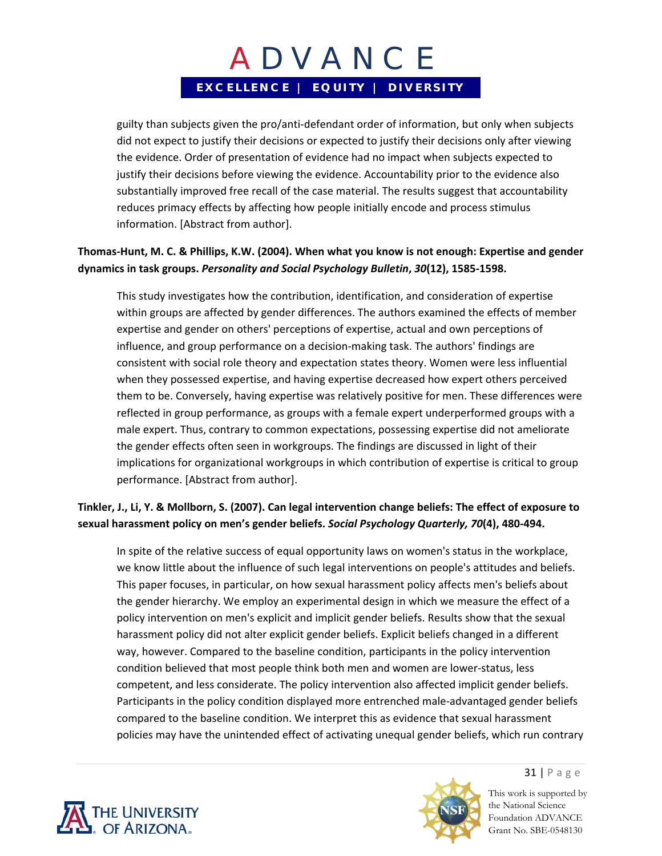guilty than subjects given the pro/anti‐defendant order of information, but only when subjects did not expect to justify their decisions or expected to justify their decisions only after viewing the evidence. Order of presentation of evidence had no impact when subjects expected to justify their decisions before viewing the evidence. Accountability prior to the evidence also substantially improved free recall of the case material. The results suggest that accountability reduces primacy effects by affecting how people initially encode and process stimulus information. [Abstract from author].

### Thomas-Hunt, M. C. & Phillips, K.W. (2004). When what you know is not enough: Expertise and gender **dynamics in task groups.** *Personality and Social Psychology Bulletin***,** *30***(12), 1585‐1598.**

This study investigates how the contribution, identification, and consideration of expertise within groups are affected by gender differences. The authors examined the effects of member expertise and gender on others' perceptions of expertise, actual and own perceptions of influence, and group performance on a decision-making task. The authors' findings are consistent with social role theory and expectation states theory. Women were less influential when they possessed expertise, and having expertise decreased how expert others perceived them to be. Conversely, having expertise was relatively positive for men. These differences were reflected in group performance, as groups with a female expert underperformed groups with a male expert. Thus, contrary to common expectations, possessing expertise did not ameliorate the gender effects often seen in workgroups. The findings are discussed in light of their implications for organizational workgroups in which contribution of expertise is critical to group performance. [Abstract from author].

### Tinkler, J., Li, Y. & Mollborn, S. (2007). Can legal intervention change beliefs: The effect of exposure to **sexual harassment policy on men's gender beliefs.** *Social Psychology Quarterly, 70***(4), 480‐494.**

In spite of the relative success of equal opportunity laws on women's status in the workplace, we know little about the influence of such legal interventions on people's attitudes and beliefs. This paper focuses, in particular, on how sexual harassment policy affects men's beliefs about the gender hierarchy. We employ an experimental design in which we measure the effect of a policy intervention on men's explicit and implicit gender beliefs. Results show that the sexual harassment policy did not alter explicit gender beliefs. Explicit beliefs changed in a different way, however. Compared to the baseline condition, participants in the policy intervention condition believed that most people think both men and women are lower‐status, less competent, and less considerate. The policy intervention also affected implicit gender beliefs. Participants in the policy condition displayed more entrenched male‐advantaged gender beliefs compared to the baseline condition. We interpret this as evidence that sexual harassment policies may have the unintended effect of activating unequal gender beliefs, which run contrary





31 | Page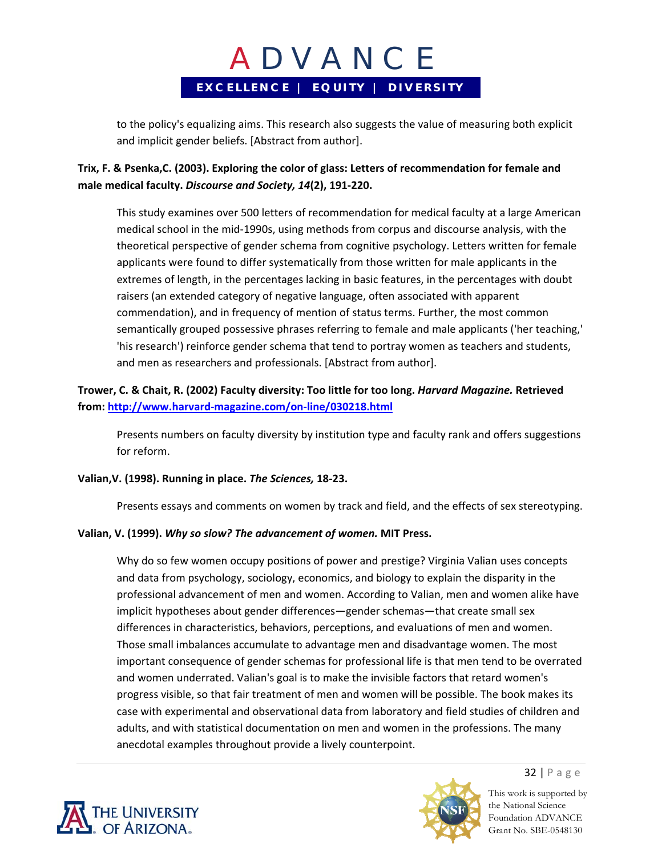to the policy's equalizing aims. This research also suggests the value of measuring both explicit and implicit gender beliefs. [Abstract from author].

## **Trix, F. & Psenka,C. (2003). Exploring the color of glass: Letters of recommendation for female and male medical faculty.** *Discourse and Society, 14***(2), 191‐220.**

This study examines over 500 letters of recommendation for medical faculty at a large American medical school in the mid‐1990s, using methods from corpus and discourse analysis, with the theoretical perspective of gender schema from cognitive psychology. Letters written for female applicants were found to differ systematically from those written for male applicants in the extremes of length, in the percentages lacking in basic features, in the percentages with doubt raisers (an extended category of negative language, often associated with apparent commendation), and in frequency of mention of status terms. Further, the most common semantically grouped possessive phrases referring to female and male applicants ('her teaching,' 'his research') reinforce gender schema that tend to portray women as teachers and students, and men as researchers and professionals. [Abstract from author].

## **Trower, C. & Chait, R. (2002) Faculty diversity: Too little for too long.** *Harvard Magazine.* **Retrieved from: http://www.harvard‐magazine.com/on‐line/030218.html**

Presents numbers on faculty diversity by institution type and faculty rank and offers suggestions for reform.

#### **Valian,V. (1998). Running in place.** *The Sciences,* **18‐23.**

Presents essays and comments on women by track and field, and the effects of sex stereotyping.

#### **Valian, V. (1999).** *Why so slow? The advancement of women.* **MIT Press.**

Why do so few women occupy positions of power and prestige? Virginia Valian uses concepts and data from psychology, sociology, economics, and biology to explain the disparity in the professional advancement of men and women. According to Valian, men and women alike have implicit hypotheses about gender differences—gender schemas—that create small sex differences in characteristics, behaviors, perceptions, and evaluations of men and women. Those small imbalances accumulate to advantage men and disadvantage women. The most important consequence of gender schemas for professional life is that men tend to be overrated and women underrated. Valian's goal is to make the invisible factors that retard women's progress visible, so that fair treatment of men and women will be possible. The book makes its case with experimental and observational data from laboratory and field studies of children and adults, and with statistical documentation on men and women in the professions. The many anecdotal examples throughout provide a lively counterpoint.





32 | Page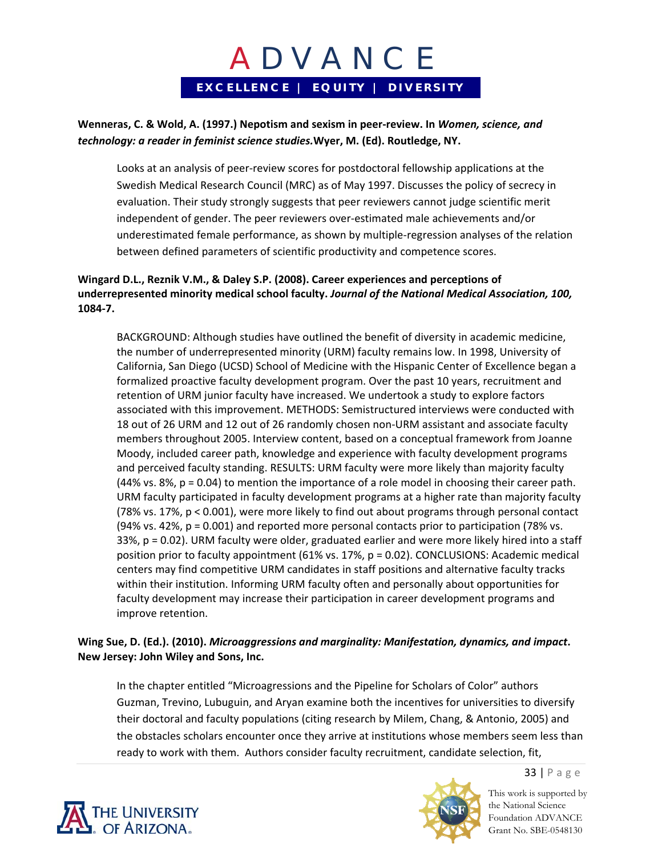### **Wenneras, C. & Wold, A. (1997.) Nepotism and sexism in peer‐review. In** *Women, science, and technology: a reader in feminist science studies.***Wyer, M. (Ed). Routledge, NY.**

Looks at an analysis of peer‐review scores for postdoctoral fellowship applications at the Swedish Medical Research Council (MRC) as of May 1997. Discusses the policy of secrecy in evaluation. Their study strongly suggests that peer reviewers cannot judge scientific merit independent of gender. The peer reviewers over‐estimated male achievements and/or underestimated female performance, as shown by multiple‐regression analyses of the relation between defined parameters of scientific productivity and competence scores.

### **Wingard D.L., Reznik V.M., & Daley S.P. (2008). Career experiences and perceptions of underrepresented minority medical school faculty.** *Journal of the National Medical Association, 100,* **1084‐7.**

BACKGROUND: Although studies have outlined the benefit of diversity in academic medicine, the number of underrepresented minority (URM) faculty remains low. In 1998, University of California, San Diego (UCSD) School of Medicine with the Hispanic Center of Excellence began a formalized proactive faculty development program. Over the past 10 years, recruitment and retention of URM junior faculty have increased. We undertook a study to explore factors associated with this improvement. METHODS: Semistructured interviews were conducted with 18 out of 26 URM and 12 out of 26 randomly chosen non‐URM assistant and associate faculty members throughout 2005. Interview content, based on a conceptual framework from Joanne Moody, included career path, knowledge and experience with faculty development programs and perceived faculty standing. RESULTS: URM faculty were more likely than majority faculty  $(44\% \text{ vs. } 8\%, \text{ p} = 0.04)$  to mention the importance of a role model in choosing their career path. URM faculty participated in faculty development programs at a higher rate than majority faculty (78% vs. 17%, p < 0.001), were more likely to find out about programs through personal contact (94% vs. 42%,  $p = 0.001$ ) and reported more personal contacts prior to participation (78% vs. 33%, p = 0.02). URM faculty were older, graduated earlier and were more likely hired into a staff position prior to faculty appointment (61% vs. 17%, p = 0.02). CONCLUSIONS: Academic medical centers may find competitive URM candidates in staff positions and alternative faculty tracks within their institution. Informing URM faculty often and personally about opportunities for faculty development may increase their participation in career development programs and improve retention.

### **Wing Sue, D. (Ed.). (2010).** *Microaggressions and marginality: Manifestation, dynamics, and impact***. New Jersey: John Wiley and Sons, Inc.**

In the chapter entitled "Microagressions and the Pipeline for Scholars of Color" authors Guzman, Trevino, Lubuguin, and Aryan examine both the incentives for universities to diversify their doctoral and faculty populations (citing research by Milem, Chang, & Antonio, 2005) and the obstacles scholars encounter once they arrive at institutions whose members seem less than ready to work with them. Authors consider faculty recruitment, candidate selection, fit,





This work is supported by the National Science Foundation ADVANCE

Grant No. SBE-0548130